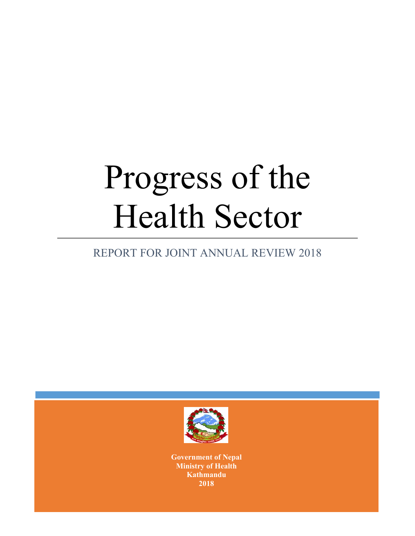# Progress of the Health Sector

# REPORT FOR JOINT ANNUAL REVIEW 2018



**Government of Nepal Ministry of Health Kathmandu 2018**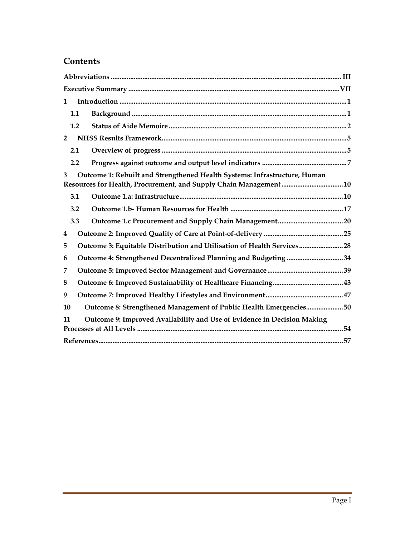## **Contents**

| $\mathbf 1$                                                                    |  |  |  |  |  |
|--------------------------------------------------------------------------------|--|--|--|--|--|
| 1.1                                                                            |  |  |  |  |  |
| 1.2                                                                            |  |  |  |  |  |
| $\overline{2}$                                                                 |  |  |  |  |  |
| 2.1                                                                            |  |  |  |  |  |
| 2.2                                                                            |  |  |  |  |  |
| Outcome 1: Rebuilt and Strengthened Health Systems: Infrastructure, Human<br>3 |  |  |  |  |  |
| 3.1                                                                            |  |  |  |  |  |
| 3.2                                                                            |  |  |  |  |  |
| 3.3                                                                            |  |  |  |  |  |
| 4                                                                              |  |  |  |  |  |
| Outcome 3: Equitable Distribution and Utilisation of Health Services28<br>5    |  |  |  |  |  |
| Outcome 4: Strengthened Decentralized Planning and Budgeting 34<br>6           |  |  |  |  |  |
| 7                                                                              |  |  |  |  |  |
| 8                                                                              |  |  |  |  |  |
| 9                                                                              |  |  |  |  |  |
| Outcome 8: Strengthened Management of Public Health Emergencies50<br>10        |  |  |  |  |  |
| Outcome 9: Improved Availability and Use of Evidence in Decision Making<br>11  |  |  |  |  |  |
|                                                                                |  |  |  |  |  |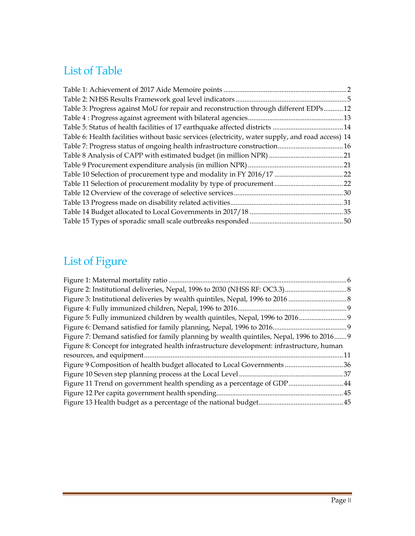# List of Table

| Table 3: Progress against MoU for repair and reconstruction through different EDPs12              |  |
|---------------------------------------------------------------------------------------------------|--|
|                                                                                                   |  |
|                                                                                                   |  |
| Table 6: Health facilities without basic services (electricity, water supply, and road access) 14 |  |
|                                                                                                   |  |
|                                                                                                   |  |
|                                                                                                   |  |
|                                                                                                   |  |
|                                                                                                   |  |
|                                                                                                   |  |
|                                                                                                   |  |
|                                                                                                   |  |
|                                                                                                   |  |

# List of Figure

| Figure 5: Fully immunized children by wealth quintiles, Nepal, 1996 to 2016<br>Figure 7: Demand satisfied for family planning by wealth quintiles, Nepal, 1996 to 2016 9<br>Figure 8: Concept for integrated health infrastructure development: infrastructure, human |
|-----------------------------------------------------------------------------------------------------------------------------------------------------------------------------------------------------------------------------------------------------------------------|
|                                                                                                                                                                                                                                                                       |
|                                                                                                                                                                                                                                                                       |
|                                                                                                                                                                                                                                                                       |
|                                                                                                                                                                                                                                                                       |
|                                                                                                                                                                                                                                                                       |
|                                                                                                                                                                                                                                                                       |
|                                                                                                                                                                                                                                                                       |
|                                                                                                                                                                                                                                                                       |
|                                                                                                                                                                                                                                                                       |
|                                                                                                                                                                                                                                                                       |
| Figure 11 Trend on government health spending as a percentage of GDP  44                                                                                                                                                                                              |
|                                                                                                                                                                                                                                                                       |
|                                                                                                                                                                                                                                                                       |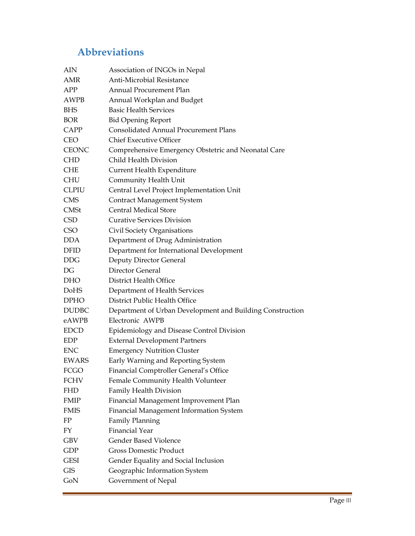# **Abbreviations**

| AIN          | Association of INGOs in Nepal                             |
|--------------|-----------------------------------------------------------|
| AMR          | Anti-Microbial Resistance                                 |
| APP          | Annual Procurement Plan                                   |
| <b>AWPB</b>  | Annual Workplan and Budget                                |
| <b>BHS</b>   | <b>Basic Health Services</b>                              |
| <b>BOR</b>   | <b>Bid Opening Report</b>                                 |
| CAPP         | <b>Consolidated Annual Procurement Plans</b>              |
| <b>CEO</b>   | <b>Chief Executive Officer</b>                            |
| <b>CEONC</b> | Comprehensive Emergency Obstetric and Neonatal Care       |
| <b>CHD</b>   | Child Health Division                                     |
| <b>CHE</b>   | Current Health Expenditure                                |
| <b>CHU</b>   | Community Health Unit                                     |
| <b>CLPIU</b> | Central Level Project Implementation Unit                 |
| <b>CMS</b>   | <b>Contract Management System</b>                         |
| <b>CMSt</b>  | <b>Central Medical Store</b>                              |
| <b>CSD</b>   | <b>Curative Services Division</b>                         |
| <b>CSO</b>   | Civil Society Organisations                               |
| <b>DDA</b>   | Department of Drug Administration                         |
| <b>DFID</b>  | Department for International Development                  |
| <b>DDG</b>   | Deputy Director General                                   |
| DG           | Director General                                          |
| DHO          | District Health Office                                    |
| <b>DoHS</b>  | Department of Health Services                             |
| <b>DPHO</b>  | District Public Health Office                             |
| <b>DUDBC</b> | Department of Urban Development and Building Construction |
| eAWPB        | Electronic AWPB                                           |
| <b>EDCD</b>  | Epidemiology and Disease Control Division                 |
| EDP          | <b>External Development Partners</b>                      |
| <b>ENC</b>   | <b>Emergency Nutrition Cluster</b>                        |
| <b>EWARS</b> | Early Warning and Reporting System                        |
| FCGO         | Financial Comptroller General's Office                    |
| FCHV         | Female Community Health Volunteer                         |
| <b>FHD</b>   | Family Health Division                                    |
| <b>FMIP</b>  | Financial Management Improvement Plan                     |
| <b>FMIS</b>  | Financial Management Information System                   |
| FP           | <b>Family Planning</b>                                    |
| FY           | <b>Financial Year</b>                                     |
| GBV          | <b>Gender Based Violence</b>                              |
| GDP          | <b>Gross Domestic Product</b>                             |
| <b>GESI</b>  | Gender Equality and Social Inclusion                      |
| <b>GIS</b>   | Geographic Information System                             |
| GoN          | Government of Nepal                                       |
|              |                                                           |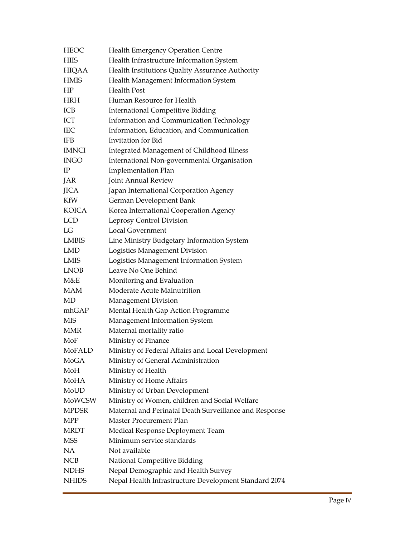| <b>HEOC</b>  | Health Emergency Operation Centre                      |
|--------------|--------------------------------------------------------|
| <b>HIIS</b>  | Health Infrastructure Information System               |
| HIQAA        | Health Institutions Quality Assurance Authority        |
| <b>HMIS</b>  | Health Management Information System                   |
| HP           | <b>Health Post</b>                                     |
| <b>HRH</b>   | Human Resource for Health                              |
| ICB          | <b>International Competitive Bidding</b>               |
| ICT          | Information and Communication Technology               |
| <b>IEC</b>   | Information, Education, and Communication              |
| <b>IFB</b>   | <b>Invitation</b> for Bid                              |
| <b>IMNCI</b> | Integrated Management of Childhood Illness             |
| <b>INGO</b>  | International Non-governmental Organisation            |
| $_{\rm IP}$  | <b>Implementation Plan</b>                             |
| JAR          | Joint Annual Review                                    |
| <b>JICA</b>  | Japan International Corporation Agency                 |
| KfW          | German Development Bank                                |
| <b>KOICA</b> | Korea International Cooperation Agency                 |
| <b>LCD</b>   | Leprosy Control Division                               |
| LG           | <b>Local Government</b>                                |
| LMBIS        | Line Ministry Budgetary Information System             |
| <b>LMD</b>   | Logistics Management Division                          |
| LMIS         | Logistics Management Information System                |
| LNOB         | Leave No One Behind                                    |
| M&E          | Monitoring and Evaluation                              |
| MAM          | Moderate Acute Malnutrition                            |
| MD           | <b>Management Division</b>                             |
| mhGAP        | Mental Health Gap Action Programme                     |
| <b>MIS</b>   | Management Information System                          |
| MMR          | Maternal mortality ratio                               |
| MoF          | Ministry of Finance                                    |
| MoFALD       | Ministry of Federal Affairs and Local Development      |
| MoGA         | Ministry of General Administration                     |
| MoH          | Ministry of Health                                     |
| MoHA         | Ministry of Home Affairs                               |
| MoUD         | Ministry of Urban Development                          |
| MoWCSW       | Ministry of Women, children and Social Welfare         |
| <b>MPDSR</b> | Maternal and Perinatal Death Surveillance and Response |
| MPP          | Master Procurement Plan                                |
| <b>MRDT</b>  | Medical Response Deployment Team                       |
| <b>MSS</b>   | Minimum service standards                              |
| NA.          | Not available                                          |
| NCB          | National Competitive Bidding                           |
| <b>NDHS</b>  | Nepal Demographic and Health Survey                    |
| <b>NHIDS</b> | Nepal Health Infrastructure Development Standard 2074  |
|              |                                                        |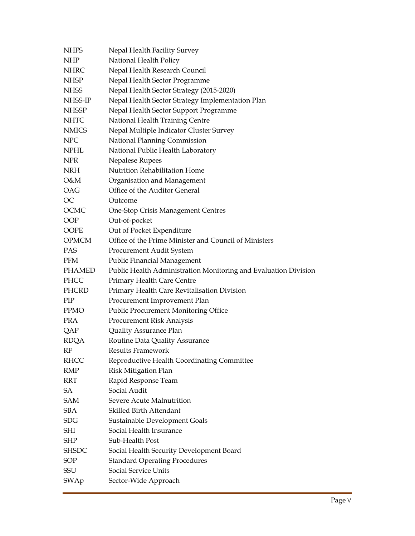| <b>NHFS</b>   | Nepal Health Facility Survey                                    |
|---------------|-----------------------------------------------------------------|
| <b>NHP</b>    | National Health Policy                                          |
| <b>NHRC</b>   | Nepal Health Research Council                                   |
| <b>NHSP</b>   | Nepal Health Sector Programme                                   |
| <b>NHSS</b>   | Nepal Health Sector Strategy (2015-2020)                        |
| NHSS-IP       | Nepal Health Sector Strategy Implementation Plan                |
| <b>NHSSP</b>  | Nepal Health Sector Support Programme                           |
| <b>NHTC</b>   | National Health Training Centre                                 |
| <b>NMICS</b>  | Nepal Multiple Indicator Cluster Survey                         |
| <b>NPC</b>    | National Planning Commission                                    |
| <b>NPHL</b>   | National Public Health Laboratory                               |
| NPR           | Nepalese Rupees                                                 |
| <b>NRH</b>    | Nutrition Rehabilitation Home                                   |
| O&M           | Organisation and Management                                     |
| OAG           | Office of the Auditor General                                   |
| <b>OC</b>     | Outcome                                                         |
| OCMC          | One-Stop Crisis Management Centres                              |
| <b>OOP</b>    | Out-of-pocket                                                   |
| OOPE          | Out of Pocket Expenditure                                       |
| <b>OPMCM</b>  | Office of the Prime Minister and Council of Ministers           |
| <b>PAS</b>    | Procurement Audit System                                        |
| <b>PFM</b>    | <b>Public Financial Management</b>                              |
| <b>PHAMED</b> | Public Health Administration Monitoring and Evaluation Division |
| PHCC          | Primary Health Care Centre                                      |
| PHCRD         | Primary Health Care Revitalisation Division                     |
| PIP           | Procurement Improvement Plan                                    |
| <b>PPMO</b>   | Public Procurement Monitoring Office                            |
| <b>PRA</b>    | Procurement Risk Analysis                                       |
| QAP           | Quality Assurance Plan                                          |
| <b>RDQA</b>   | Routine Data Quality Assurance                                  |
| RF            | Results Framework                                               |
| <b>RHCC</b>   | Reproductive Health Coordinating Committee                      |
| <b>RMP</b>    | <b>Risk Mitigation Plan</b>                                     |
| RRT           | Rapid Response Team                                             |
| SA            | Social Audit                                                    |
| <b>SAM</b>    | Severe Acute Malnutrition                                       |
| <b>SBA</b>    | Skilled Birth Attendant                                         |
| <b>SDG</b>    | Sustainable Development Goals                                   |
| SHI           | Social Health Insurance                                         |
| SHP           | Sub-Health Post                                                 |
| <b>SHSDC</b>  | Social Health Security Development Board                        |
| <b>SOP</b>    | <b>Standard Operating Procedures</b>                            |
| SSU           | Social Service Units                                            |
| SWAp          | Sector-Wide Approach                                            |
|               |                                                                 |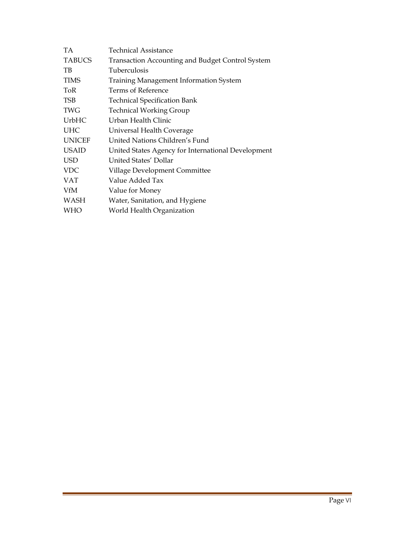| <b>Technical Assistance</b>                             |
|---------------------------------------------------------|
| <b>Transaction Accounting and Budget Control System</b> |
| Tuberculosis                                            |
| Training Management Information System                  |
| Terms of Reference                                      |
| <b>Technical Specification Bank</b>                     |
| <b>Technical Working Group</b>                          |
| Urban Health Clinic                                     |
| Universal Health Coverage                               |
| United Nations Children's Fund                          |
| United States Agency for International Development      |
| United States' Dollar                                   |
| Village Development Committee                           |
| Value Added Tax                                         |
| Value for Money                                         |
| Water, Sanitation, and Hygiene                          |
| World Health Organization                               |
|                                                         |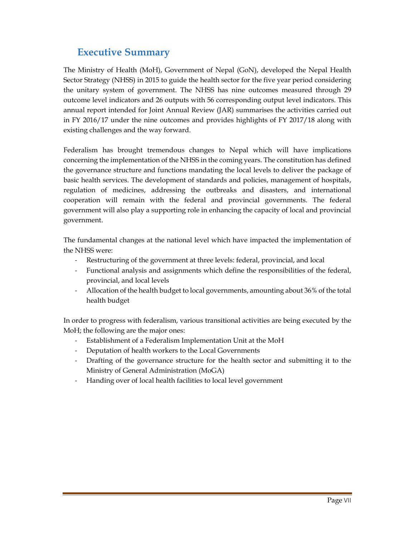## **Executive Summary**

The Ministry of Health (MoH), Government of Nepal (GoN), developed the Nepal Health Sector Strategy (NHSS) in 2015 to guide the health sector for the five year period considering the unitary system of government. The NHSS has nine outcomes measured through 29 outcome level indicators and 26 outputs with 56 corresponding output level indicators. This annual report intended for Joint Annual Review (JAR) summarises the activities carried out in FY 2016/17 under the nine outcomes and provides highlights of FY 2017/18 along with existing challenges and the way forward.

Federalism has brought tremendous changes to Nepal which will have implications concerning the implementation of the NHSS in the coming years. The constitution has defined the governance structure and functions mandating the local levels to deliver the package of basic health services. The development of standards and policies, management of hospitals, regulation of medicines, addressing the outbreaks and disasters, and international cooperation will remain with the federal and provincial governments. The federal government will also play a supporting role in enhancing the capacity of local and provincial government.

The fundamental changes at the national level which have impacted the implementation of the NHSS were:

- ‐ Restructuring of the government at three levels: federal, provincial, and local
- ‐ Functional analysis and assignments which define the responsibilities of the federal, provincial, and local levels
- ‐ Allocation of the health budget to local governments, amounting about 36% of the total health budget

In order to progress with federalism, various transitional activities are being executed by the MoH; the following are the major ones:

- ‐ Establishment of a Federalism Implementation Unit at the MoH
- ‐ Deputation of health workers to the Local Governments
- ‐ Drafting of the governance structure for the health sector and submitting it to the Ministry of General Administration (MoGA)
- ‐ Handing over of local health facilities to local level government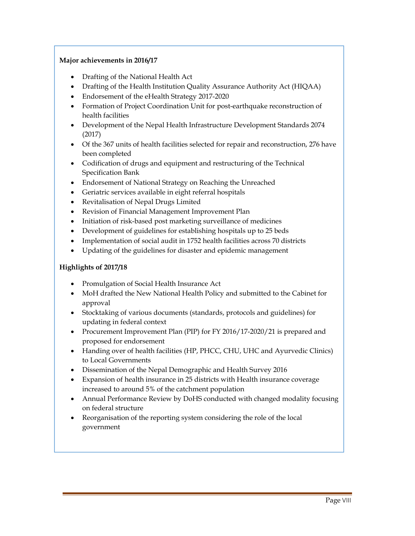#### **Major achievements in 2016/17**

- Drafting of the National Health Act
- Drafting of the Health Institution Quality Assurance Authority Act (HIQAA)
- Endorsement of the eHealth Strategy 2017-2020
- Formation of Project Coordination Unit for post-earthquake reconstruction of health facilities
- Development of the Nepal Health Infrastructure Development Standards 2074 (2017)
- Of the 367 units of health facilities selected for repair and reconstruction, 276 have been completed
- Codification of drugs and equipment and restructuring of the Technical Specification Bank
- Endorsement of National Strategy on Reaching the Unreached
- Geriatric services available in eight referral hospitals
- Revitalisation of Nepal Drugs Limited
- Revision of Financial Management Improvement Plan
- Initiation of risk-based post marketing surveillance of medicines
- Development of guidelines for establishing hospitals up to 25 beds
- Implementation of social audit in 1752 health facilities across 70 districts
- Updating of the guidelines for disaster and epidemic management

#### **Highlights of 2017/18**

- Promulgation of Social Health Insurance Act
- MoH drafted the New National Health Policy and submitted to the Cabinet for approval
- Stocktaking of various documents (standards, protocols and guidelines) for updating in federal context
- Procurement Improvement Plan (PIP) for FY 2016/17-2020/21 is prepared and proposed for endorsement
- Handing over of health facilities (HP, PHCC, CHU, UHC and Ayurvedic Clinics) to Local Governments
- Dissemination of the Nepal Demographic and Health Survey 2016
- Expansion of health insurance in 25 districts with Health insurance coverage increased to around 5% of the catchment population
- Annual Performance Review by DoHS conducted with changed modality focusing on federal structure
- Reorganisation of the reporting system considering the role of the local government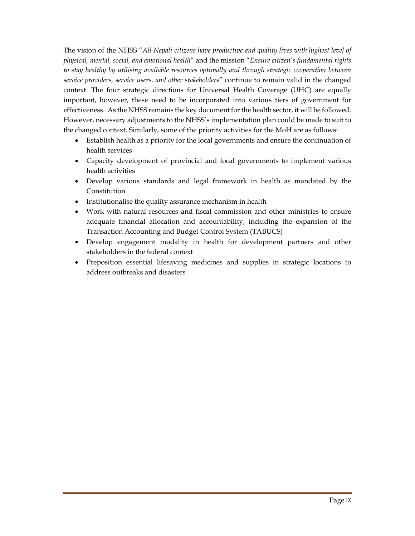The vision of the NHSS "*All Nepali citizens have productive and quality lives with highest level of physical, mental, social, and emotional health*" and the mission "*Ensure citizen's fundamental rights to stay healthy by utilising available resources optimally and through strategic cooperation between service providers, service users, and other stakeholders*" continue to remain valid in the changed context. The four strategic directions for Universal Health Coverage (UHC) are equally important, however, these need to be incorporated into various tiers of government for effectiveness. As the NHSS remains the key document for the health sector, it will be followed. However, necessary adjustments to the NHSS's implementation plan could be made to suit to the changed context. Similarly, some of the priority activities for the MoH are as follows:

- Establish health as a priority for the local governments and ensure the continuation of health services
- Capacity development of provincial and local governments to implement various health activities
- Develop various standards and legal framework in health as mandated by the Constitution
- Institutionalise the quality assurance mechanism in health
- Work with natural resources and fiscal commission and other ministries to ensure adequate financial allocation and accountability, including the expansion of the Transaction Accounting and Budget Control System (TABUCS)
- Develop engagement modality in health for development partners and other stakeholders in the federal context
- Preposition essential lifesaving medicines and supplies in strategic locations to address outbreaks and disasters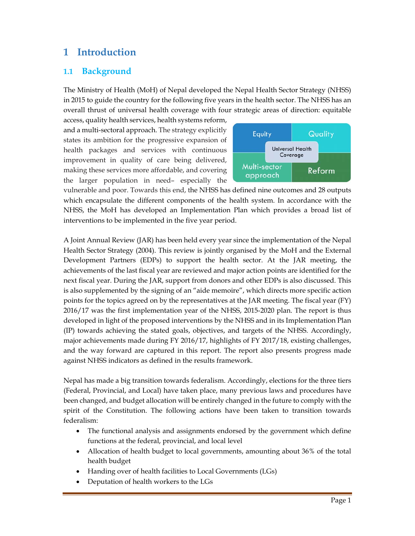## **1 Introduction**

### **1.1 Background**

The Ministry of Health (MoH) of Nepal developed the Nepal Health Sector Strategy (NHSS) in 2015 to guide the country for the following five years in the health sector. The NHSS has an overall thrust of universal health coverage with four strategic areas of direction: equitable

access, quality health services, health systems reform, and a multi-sectoral approach. The strategy explicitly states its ambition for the progressive expansion of health packages and services with continuous improvement in quality of care being delivered, making these services more affordable, and covering the larger population in need– especially the



vulnerable and poor. Towards this end, the NHSS has defined nine outcomes and 28 outputs which encapsulate the different components of the health system. In accordance with the NHSS, the MoH has developed an Implementation Plan which provides a broad list of interventions to be implemented in the five year period.

A Joint Annual Review (JAR) has been held every year since the implementation of the Nepal Health Sector Strategy (2004). This review is jointly organised by the MoH and the External Development Partners (EDPs) to support the health sector. At the JAR meeting, the achievements of the last fiscal year are reviewed and major action points are identified for the next fiscal year. During the JAR, support from donors and other EDPs is also discussed. This is also supplemented by the signing of an "aide memoire", which directs more specific action points for the topics agreed on by the representatives at the JAR meeting. The fiscal year (FY) 2016/17 was the first implementation year of the NHSS, 2015-2020 plan. The report is thus developed in light of the proposed interventions by the NHSS and in its Implementation Plan (IP) towards achieving the stated goals, objectives, and targets of the NHSS. Accordingly, major achievements made during FY 2016/17, highlights of FY 2017/18, existing challenges, and the way forward are captured in this report. The report also presents progress made against NHSS indicators as defined in the results framework.

Nepal has made a big transition towards federalism. Accordingly, elections for the three tiers (Federal, Provincial, and Local) have taken place, many previous laws and procedures have been changed, and budget allocation will be entirely changed in the future to comply with the spirit of the Constitution. The following actions have been taken to transition towards federalism:

- The functional analysis and assignments endorsed by the government which define functions at the federal, provincial, and local level
- Allocation of health budget to local governments, amounting about 36% of the total health budget
- Handing over of health facilities to Local Governments (LGs)
- Deputation of health workers to the LGs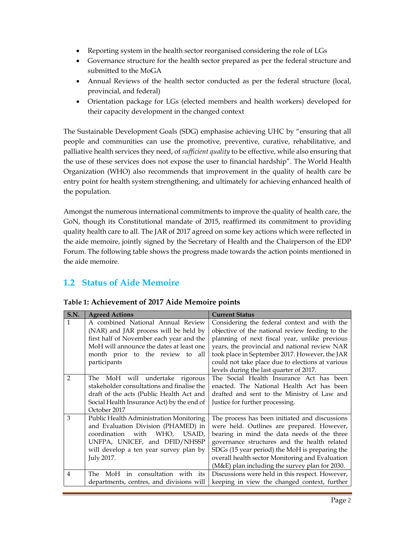- Reporting system in the health sector reorganised considering the role of LGs
- Governance structure for the health sector prepared as per the federal structure and submitted to the MoGA
- Annual Reviews of the health sector conducted as per the federal structure (local, provincial, and federal)
- Orientation package for LGs (elected members and health workers) developed for their capacity development in the changed context

The Sustainable Development Goals (SDG) emphasise achieving UHC by "ensuring that all people and communities can use the promotive, preventive, curative, rehabilitative, and palliative health services they need, of *sufficient quality* to be effective, while also ensuring that the use of these services does not expose the user to financial hardship". The World Health Organization (WHO) also recommends that improvement in the quality of health care be entry point for health system strengthening, and ultimately for achieving enhanced health of the population.

Amongst the numerous international commitments to improve the quality of health care, the GoN, though its Constitutional mandate of 2015, reaffirmed its commitment to providing quality health care to all. The JAR of 2017 agreed on some key actions which were reflected in the aide memoire, jointly signed by the Secretary of Health and the Chairperson of the EDP Forum. The following table shows the progress made towards the action points mentioned in the aide memoire.

## **1.2 Status of Aide Memoire**

| S.N.           | <b>Agreed Actions</b>                      | <b>Current Status</b>                            |  |  |  |
|----------------|--------------------------------------------|--------------------------------------------------|--|--|--|
| 1              | A combined National Annual Review          | Considering the federal context and with the     |  |  |  |
|                | (NAR) and JAR process will be held by      | objective of the national review feeding to the  |  |  |  |
|                | first half of November each year and the   | planning of next fiscal year, unlike previous    |  |  |  |
|                | MoH will announce the dates at least one   | years, the provincial and national review NAR    |  |  |  |
|                | month prior to the review to<br>all        | took place in September 2017. However, the JAR   |  |  |  |
|                | participants                               | could not take place due to elections at various |  |  |  |
|                |                                            | levels during the last quarter of 2017.          |  |  |  |
| 2              | The MoH will undertake rigorous            | The Social Health Insurance Act has been         |  |  |  |
|                | stakeholder consultations and finalise the | enacted. The National Health Act has been        |  |  |  |
|                | draft of the acts (Public Health Act and   | drafted and sent to the Ministry of Law and      |  |  |  |
|                | Social Health Insurance Act) by the end of | Justice for further processing.                  |  |  |  |
|                | October 2017                               |                                                  |  |  |  |
| 3              | Public Health Administration Monitoring    | The process has been initiated and discussions   |  |  |  |
|                | and Evaluation Division (PHAMED) in        | were held. Outlines are prepared. However,       |  |  |  |
|                | coordination with<br>WHO, USAID,           | bearing in mind the data needs of the three      |  |  |  |
|                | UNFPA, UNICEF, and DFID/NHSSP              | governance structures and the health related     |  |  |  |
|                | will develop a ten year survey plan by     | SDGs (15 year period) the MoH is preparing the   |  |  |  |
|                | July 2017.                                 | overall health sector Monitoring and Evaluation  |  |  |  |
|                |                                            | (M&E) plan including the survey plan for 2030.   |  |  |  |
| $\overline{4}$ | MoH in consultation with its<br>The        | Discussions were held in this respect. However,  |  |  |  |
|                | departments, centres, and divisions will   | keeping in view the changed context, further     |  |  |  |

**Table 1: Achievement of 2017 Aide Memoire points**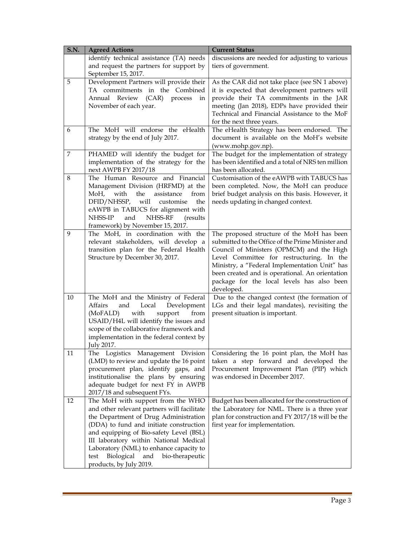| <b>S.N.</b>    | <b>Agreed Actions</b>                                                                                                                                                                                                                                                                                                                                                           | <b>Current Status</b>                                                                                                                                                                                                                                                                                                                                     |
|----------------|---------------------------------------------------------------------------------------------------------------------------------------------------------------------------------------------------------------------------------------------------------------------------------------------------------------------------------------------------------------------------------|-----------------------------------------------------------------------------------------------------------------------------------------------------------------------------------------------------------------------------------------------------------------------------------------------------------------------------------------------------------|
|                | identify technical assistance (TA) needs<br>and request the partners for support by<br>September 15, 2017.                                                                                                                                                                                                                                                                      | discussions are needed for adjusting to various<br>tiers of government.                                                                                                                                                                                                                                                                                   |
| 5              | Development Partners will provide their<br>TA commitments in the Combined<br>Annual Review (CAR)<br>process<br>in<br>November of each year.                                                                                                                                                                                                                                     | As the CAR did not take place (see SN 1 above)<br>it is expected that development partners will<br>provide their TA commitments in the JAR<br>meeting (Jan 2018), EDPs have provided their<br>Technical and Financial Assistance to the MoF<br>for the next three years.                                                                                  |
| 6              | The MoH will endorse the eHealth<br>strategy by the end of July 2017.                                                                                                                                                                                                                                                                                                           | The eHealth Strategy has been endorsed. The<br>document is available on the MoH's website<br>(www.mohp.gov.np).                                                                                                                                                                                                                                           |
| $\overline{7}$ | PHAMED will identify the budget for<br>implementation of the strategy for the<br>next AWPB FY 2017/18                                                                                                                                                                                                                                                                           | The budget for the implementation of strategy<br>has been identified and a total of NRS ten million<br>has been allocated.                                                                                                                                                                                                                                |
| 8              | The Human Resource and Financial<br>Management Division (HRFMD) at the<br>with<br>the<br>assistance<br>MoH,<br>from<br>will<br>DFID/NHSSP,<br>customise<br>the<br>eAWPB in TABUCS for alignment with<br>NHSS-RF<br>NHSS-IP<br>and<br>(results)<br>framework) by November 15, 2017.                                                                                              | Customisation of the eAWPB with TABUCS has<br>been completed. Now, the MoH can produce<br>brief budget analysis on this basis. However, it<br>needs updating in changed context.                                                                                                                                                                          |
| 9              | The MoH, in coordination with the<br>relevant stakeholders, will develop a<br>transition plan for the Federal Health<br>Structure by December 30, 2017.                                                                                                                                                                                                                         | The proposed structure of the MoH has been<br>submitted to the Office of the Prime Minister and<br>Council of Ministers (OPMCM) and the High<br>Level Committee for restructuring. In the<br>Ministry, a "Federal Implementation Unit" has<br>been created and is operational. An orientation<br>package for the local levels has also been<br>developed. |
| 10             | The MoH and the Ministry of Federal<br>Affairs<br>and<br>Local<br>Development<br>(MoFALD)<br>with<br>support<br>from<br>USAID/H4L will identify the issues and<br>scope of the collaborative framework and<br>implementation in the federal context by<br><b>Iuly 2017.</b>                                                                                                     | Due to the changed context (the formation of<br>LGs and their legal mandates), revisiting the<br>present situation is important.                                                                                                                                                                                                                          |
| 11             | The Logistics Management Division<br>(LMD) to review and update the 16 point<br>procurement plan, identify gaps, and<br>institutionalise the plans by ensuring<br>adequate budget for next FY in AWPB<br>2017/18 and subsequent FYs.                                                                                                                                            | Considering the 16 point plan, the MoH has<br>taken a step forward and developed the<br>Procurement Improvement Plan (PIP) which<br>was endorsed in December 2017.                                                                                                                                                                                        |
| 12             | The MoH with support from the WHO<br>and other relevant partners will facilitate<br>the Department of Drug Administration<br>(DDA) to fund and initiate construction<br>and equipping of Bio-safety Level (BSL)<br>III laboratory within National Medical<br>Laboratory (NML) to enhance capacity to<br>Biological<br>and<br>test<br>bio-therapeutic<br>products, by July 2019. | Budget has been allocated for the construction of<br>the Laboratory for NML. There is a three year<br>plan for construction and FY 2017/18 will be the<br>first year for implementation.                                                                                                                                                                  |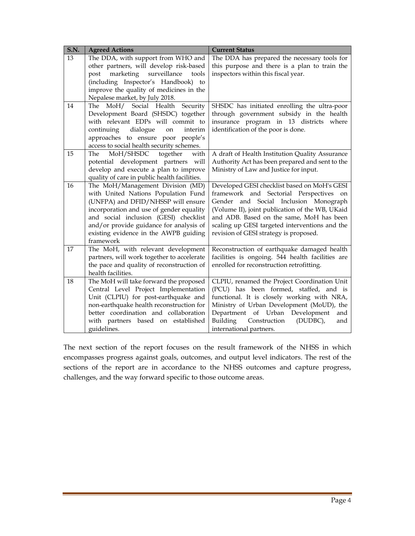| S.N. | <b>Agreed Actions</b>                                                                                                                                                                                                                                                                               | <b>Current Status</b>                                                                                                                                                                                                                                                                                                       |  |  |  |
|------|-----------------------------------------------------------------------------------------------------------------------------------------------------------------------------------------------------------------------------------------------------------------------------------------------------|-----------------------------------------------------------------------------------------------------------------------------------------------------------------------------------------------------------------------------------------------------------------------------------------------------------------------------|--|--|--|
| 13   | The DDA, with support from WHO and<br>other partners, will develop risk-based<br>marketing<br>surveillance<br>post<br>tools<br>(including Inspector's Handbook) to<br>improve the quality of medicines in the<br>Nepalese market, by July 2018.                                                     | The DDA has prepared the necessary tools for<br>this purpose and there is a plan to train the<br>inspectors within this fiscal year.                                                                                                                                                                                        |  |  |  |
| 14   | The MoH/ Social Health Security<br>Development Board (SHSDC) together<br>with relevant EDPs will commit to<br>continuing<br>dialogue<br>interim<br>$\,$ on $\,$<br>approaches to ensure poor people's<br>access to social health security schemes.                                                  | SHSDC has initiated enrolling the ultra-poor<br>through government subsidy in the health<br>insurance program in 13 districts where<br>identification of the poor is done.                                                                                                                                                  |  |  |  |
| 15   | The<br>MoH/SHSDC<br>together<br>with<br>potential development partners will<br>develop and execute a plan to improve<br>quality of care in public health facilities.                                                                                                                                | A draft of Health Institution Quality Assurance<br>Authority Act has been prepared and sent to the<br>Ministry of Law and Justice for input.                                                                                                                                                                                |  |  |  |
| 16   | The MoH/Management Division (MD)<br>with United Nations Population Fund<br>(UNFPA) and DFID/NHSSP will ensure<br>incorporation and use of gender equality<br>and social inclusion (GESI) checklist<br>and/or provide guidance for analysis of<br>existing evidence in the AWPB guiding<br>framework | Developed GESI checklist based on MoH's GESI<br>framework and Sectorial Perspectives on<br>Gender and Social Inclusion Monograph<br>(Volume II), joint publication of the WB, UKaid<br>and ADB. Based on the same, MoH has been<br>scaling up GESI targeted interventions and the<br>revision of GESI strategy is proposed. |  |  |  |
| 17   | The MoH, with relevant development<br>partners, will work together to accelerate<br>the pace and quality of reconstruction of<br>health facilities.                                                                                                                                                 | Reconstruction of earthquake damaged health<br>facilities is ongoing. 544 health facilities are<br>enrolled for reconstruction retrofitting.                                                                                                                                                                                |  |  |  |
| 18   | The MoH will take forward the proposed<br>Central Level Project Implementation<br>Unit (CLPIU) for post-earthquake and<br>non-earthquake health reconstruction for<br>better coordination and collaboration<br>with partners based on established<br>guidelines.                                    | CLPIU, renamed the Project Coordination Unit<br>(PCU) has been formed, staffed, and is<br>functional. It is closely working with NRA,<br>Ministry of Urban Development (MoUD), the<br>Department of Urban Development<br>and<br>Construction<br>Building<br>(DUDBC),<br>and<br>international partners.                      |  |  |  |

The next section of the report focuses on the result framework of the NHSS in which encompasses progress against goals, outcomes, and output level indicators. The rest of the sections of the report are in accordance to the NHSS outcomes and capture progress, challenges, and the way forward specific to those outcome areas.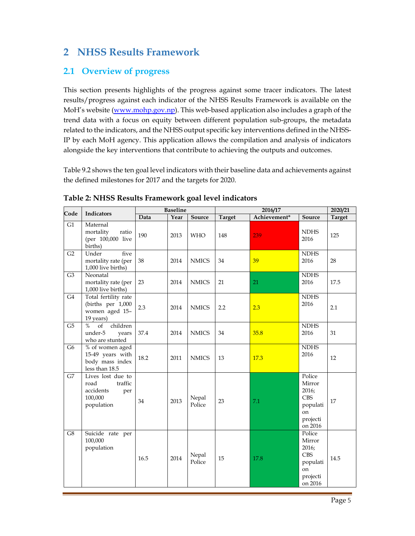## **2 NHSS Results Framework**

## **2.1 Overview of progress**

This section presents highlights of the progress against some tracer indicators. The latest results/progress against each indicator of the NHSS Results Framework is available on the MoH's website (www.mohp.gov.np). This web-based application also includes a graph of the trend data with a focus on equity between different population sub-groups, the metadata related to the indicators, and the NHSS output specific key interventions defined in the NHSS-IP by each MoH agency. This application allows the compilation and analysis of indicators alongside the key interventions that contribute to achieving the outputs and outcomes.

Table 9.2 shows the ten goal level indicators with their baseline data and achievements against the defined milestones for 2017 and the targets for 2020.

| Code           | <b>Indicators</b>                                                                 |      | <b>Baseline</b> |                 | 2016/17       |              |                                                                                             | 2020/21       |
|----------------|-----------------------------------------------------------------------------------|------|-----------------|-----------------|---------------|--------------|---------------------------------------------------------------------------------------------|---------------|
|                |                                                                                   | Data | Year            | Source          | <b>Target</b> | Achievement* | Source                                                                                      | <b>Target</b> |
| G1             | Maternal<br>mortality<br>ratio<br>(per 100,000 live<br>births)                    | 190  | 2013            | <b>WHO</b>      | 148           | 239          | <b>NDHS</b><br>2016                                                                         | 125           |
| G2             | five<br>Under<br>mortality rate (per<br>1,000 live births)                        | 38   | 2014            | <b>NMICS</b>    | 34            | 39           | <b>NDHS</b><br>2016                                                                         | 28            |
| G <sub>3</sub> | Neonatal<br>mortality rate (per<br>1,000 live births)                             | 23   | 2014            | <b>NMICS</b>    | 21            | 21           | <b>NDHS</b><br>2016                                                                         | 17.5          |
| G <sub>4</sub> | Total fertility rate<br>(births per 1,000<br>women aged 15-<br>19 years)          | 2.3  | 2014            | <b>NMICS</b>    | 2.2           | 2.3          | <b>NDHS</b><br>2016                                                                         | 2.1           |
| G <sub>5</sub> | children<br>$\%$<br>of<br>under-5<br>years<br>who are stunted                     | 37.4 | 2014            | <b>NMICS</b>    | 34            | 35.8         | <b>NDHS</b><br>2016                                                                         | 31            |
| G <sub>6</sub> | % of women aged<br>15-49 years with<br>body mass index<br>less than 18.5          | 18.2 | 2011            | $\rm NMICS$     | 13            | 17.3         | <b>NDHS</b><br>2016                                                                         | 12            |
| G7             | Lives lost due to<br>road<br>traffic<br>accidents<br>per<br>100,000<br>population | 34   | 2013            | Nepal<br>Police | 23            | 7.1          | Police<br>Mirror<br>2016;<br><b>CBS</b><br>populati<br>on<br>projecti<br>on 2016            | 17            |
| G8             | Suicide rate per<br>100,000<br>population                                         | 16.5 | 2014            | Nepal<br>Police | 15            | 17.8         | Police<br>Mirror<br>2016;<br><b>CBS</b><br>populati<br><sub>on</sub><br>projecti<br>on 2016 | 14.5          |

**Table 2: NHSS Results Framework goal level indicators**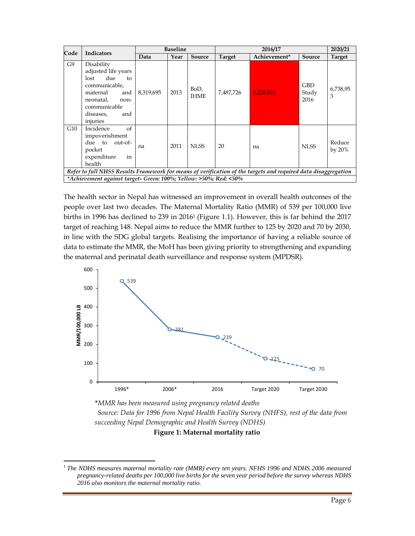| Code                                                                                                           | <b>Indicators</b>                                                                                                                                               | <b>Baseline</b> |      | 2016/17             |               |              | 2020/21                     |                     |
|----------------------------------------------------------------------------------------------------------------|-----------------------------------------------------------------------------------------------------------------------------------------------------------------|-----------------|------|---------------------|---------------|--------------|-----------------------------|---------------------|
|                                                                                                                |                                                                                                                                                                 | Data            | Year | Source              | <b>Target</b> | Achievement* | Source                      | <b>Target</b>       |
| G9                                                                                                             | Disability<br>adjusted life years<br>due<br>lost<br>to<br>communicable.<br>maternal<br>and<br>neonatal,<br>non-<br>communicable<br>diseases,<br>and<br>injuries | 8,319,695       | 2013 | BoD,<br><b>IHME</b> | 7,487,726     | 9,228,540    | <b>GBD</b><br>Study<br>2016 | 6,738,95<br>3       |
| G10                                                                                                            | of<br>Incidence<br>impoverishment<br>out-of-<br>due to<br>pocket<br>expenditure<br>in<br>health                                                                 | na              | 2011 | NI SS               | 20            | na           | NI SS                       | Reduce<br>by $20\%$ |
| Refer to full NHSS Results Framework for means of verification of the targets and required data disaggregation |                                                                                                                                                                 |                 |      |                     |               |              |                             |                     |
|                                                                                                                | *Achievement against target- Green: 100%; Yellow: >50%; Red: <50%                                                                                               |                 |      |                     |               |              |                             |                     |

The health sector in Nepal has witnessed an improvement in overall health outcomes of the people over last two decades. The Maternal Mortality Ratio (MMR) of 539 per 100,000 live births in 1996 has declined to 239 in 20161 (Figure 1.1). However, this is far behind the 2017 target of reaching 148. Nepal aims to reduce the MMR further to 125 by 2020 and 70 by 2030, in line with the SDG global targets. Realising the importance of having a reliable source of data to estimate the MMR, the MoH has been giving priority to strengthening and expanding the maternal and perinatal death surveillance and response system (MPDSR).



*\*MMR has been measured using pregnancy related deaths Source: Data for 1996 from Nepal Health Facility Survey (NHFS), rest of the data from succeeding Nepal Demographic and Health Survey (NDHS)*

**Figure 1: Maternal mortality ratio** 

<sup>1</sup> *The NDHS measures maternal mortality rate (MMR) every ten years. NFHS 1996 and NDHS 2006 measured pregnancy-related deaths per 100,000 live births for the seven year period before the survey whereas NDHS 2016 also monitors the maternal mortality ratio.*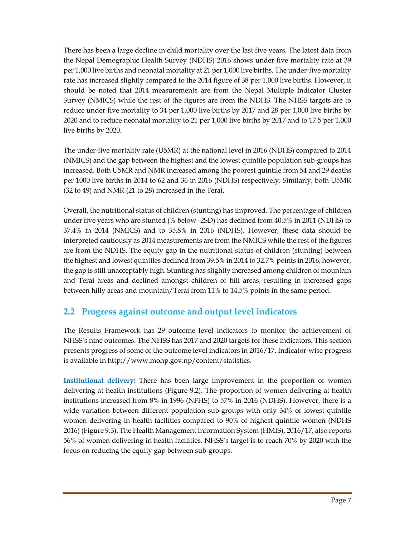There has been a large decline in child mortality over the last five years. The latest data from the Nepal Demographic Health Survey (NDHS) 2016 shows under-five mortality rate at 39 per 1,000 live births and neonatal mortality at 21 per 1,000 live births. The under-five mortality rate has increased slightly compared to the 2014 figure of 38 per 1,000 live births. However, it should be noted that 2014 measurements are from the Nepal Multiple Indicator Cluster Survey (NMICS) while the rest of the figures are from the NDHS. The NHSS targets are to reduce under-five mortality to 34 per 1,000 live births by 2017 and 28 per 1,000 live births by 2020 and to reduce neonatal mortality to 21 per 1,000 live births by 2017 and to 17.5 per 1,000 live births by 2020.

The under-five mortality rate (U5MR) at the national level in 2016 (NDHS) compared to 2014 (NMICS) and the gap between the highest and the lowest quintile population sub-groups has increased. Both U5MR and NMR increased among the poorest quintile from 54 and 29 deaths per 1000 live births in 2014 to 62 and 36 in 2016 (NDHS) respectively. Similarly, both U5MR (32 to 49) and NMR (21 to 28) increased in the Terai.

Overall, the nutritional status of children (stunting) has improved. The percentage of children under five years who are stunted (% below -2SD) has declined from 40.5% in 2011 (NDHS) to 37.4% in 2014 (NMICS) and to 35.8% in 2016 (NDHS). However, these data should be interpreted cautiously as 2014 measurements are from the NMICS while the rest of the figures are from the NDHS. The equity gap in the nutritional status of children (stunting) between the highest and lowest quintiles declined from 39.5% in 2014 to 32.7% points in 2016, however, the gap is still unacceptably high. Stunting has slightly increased among children of mountain and Terai areas and declined amongst children of hill areas, resulting in increased gaps between hilly areas and mountain/Terai from 11% to 14.5% points in the same period.

## **2.2 Progress against outcome and output level indicators**

The Results Framework has 29 outcome level indicators to monitor the achievement of NHSS's nine outcomes. The NHSS has 2017 and 2020 targets for these indicators. This section presents progress of some of the outcome level indicators in 2016/17. Indicator-wise progress is available in http://www.mohp.gov.np/content/statistics.

**Institutional delivery:** There has been large improvement in the proportion of women delivering at health institutions (Figure 9.2). The proportion of women delivering at health institutions increased from 8% in 1996 (NFHS) to 57% in 2016 (NDHS). However, there is a wide variation between different population sub-groups with only 34% of lowest quintile women delivering in health facilities compared to 90% of highest quintile women (NDHS 2016) (Figure 9.3). The Health Management Information System (HMIS), 2016/17, also reports 56% of women delivering in health facilities. NHSS's target is to reach 70% by 2020 with the focus on reducing the equity gap between sub-groups.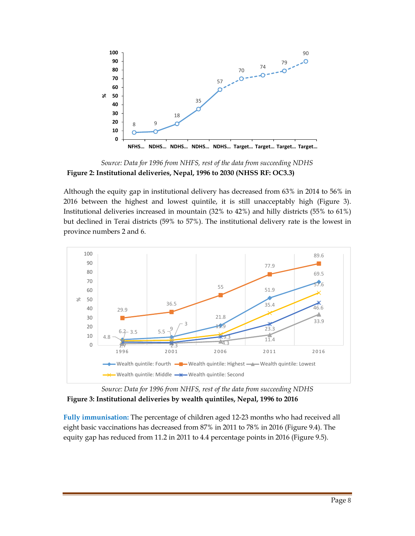

*Source: Data for 1996 from NHFS, rest of the data from succeeding NDHS* **Figure 2: Institutional deliveries, Nepal, 1996 to 2030 (NHSS RF: OC3.3)**

Although the equity gap in institutional delivery has decreased from 63% in 2014 to 56% in 2016 between the highest and lowest quintile, it is still unacceptably high (Figure 3). Institutional deliveries increased in mountain (32% to 42%) and hilly districts (55% to 61%) but declined in Terai districts (59% to 57%). The institutional delivery rate is the lowest in province numbers 2 and 6.



*Source: Data for 1996 from NHFS, rest of the data from succeeding NDHS* **Figure 3: Institutional deliveries by wealth quintiles, Nepal, 1996 to 2016** 

**Fully immunisation:** The percentage of children aged 12-23 months who had received all eight basic vaccinations has decreased from 87% in 2011 to 78% in 2016 (Figure 9.4). The equity gap has reduced from 11.2 in 2011 to 4.4 percentage points in 2016 (Figure 9.5).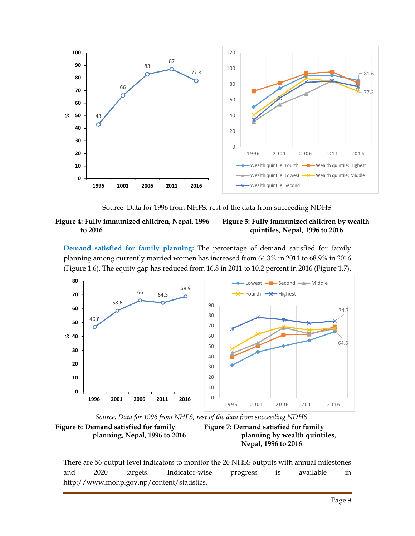

Source: Data for 1996 from NHFS, rest of the data from succeeding NDHS

**Figure 4: Fully immunized children, Nepal, 1996 to 2016**

#### **Figure 5: Fully immunized children by wealth quintiles, Nepal, 1996 to 2016**

**Demand satisfied for family planning:** The percentage of demand satisfied for family planning among currently married women has increased from 64.3% in 2011 to 68.9% in 2016 (Figure 1.6). The equity gap has reduced from 16.8 in 2011 to 10.2 percent in 2016 (Figure 1.7).



*Source: Data for 1996 from NHFS, rest of the data from succeeding NDHS*



**Figure 7: Demand satisfied for family planning by wealth quintiles, Nepal, 1996 to 2016**

There are 56 output level indicators to monitor the 26 NHSS outputs with annual milestones and 2020 targets. Indicator-wise progress is available in http://www.mohp.gov.np/content/statistics.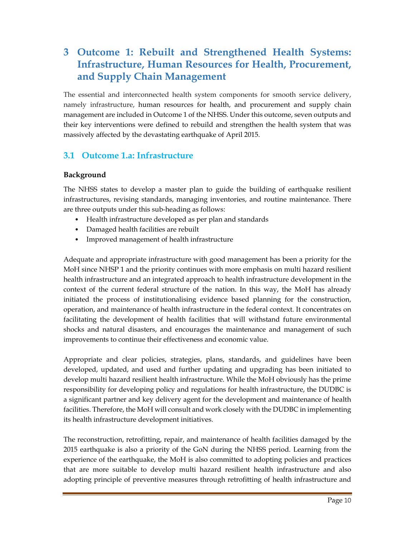# **3 Outcome 1: Rebuilt and Strengthened Health Systems: Infrastructure, Human Resources for Health, Procurement, and Supply Chain Management**

The essential and interconnected health system components for smooth service delivery, namely infrastructure, human resources for health, and procurement and supply chain management are included in Outcome 1 of the NHSS. Under this outcome, seven outputs and their key interventions were defined to rebuild and strengthen the health system that was massively affected by the devastating earthquake of April 2015.

## **3.1 Outcome 1.a: Infrastructure**

#### **Background**

The NHSS states to develop a master plan to guide the building of earthquake resilient infrastructures, revising standards, managing inventories, and routine maintenance. There are three outputs under this sub-heading as follows:

- Health infrastructure developed as per plan and standards
- Damaged health facilities are rebuilt
- Improved management of health infrastructure

Adequate and appropriate infrastructure with good management has been a priority for the MoH since NHSP 1 and the priority continues with more emphasis on multi hazard resilient health infrastructure and an integrated approach to health infrastructure development in the context of the current federal structure of the nation. In this way, the MoH has already initiated the process of institutionalising evidence based planning for the construction, operation, and maintenance of health infrastructure in the federal context. It concentrates on facilitating the development of health facilities that will withstand future environmental shocks and natural disasters, and encourages the maintenance and management of such improvements to continue their effectiveness and economic value.

Appropriate and clear policies, strategies, plans, standards, and guidelines have been developed, updated, and used and further updating and upgrading has been initiated to develop multi hazard resilient health infrastructure. While the MoH obviously has the prime responsibility for developing policy and regulations for health infrastructure, the DUDBC is a significant partner and key delivery agent for the development and maintenance of health facilities. Therefore, the MoH will consult and work closely with the DUDBC in implementing its health infrastructure development initiatives.

The reconstruction, retrofitting, repair, and maintenance of health facilities damaged by the 2015 earthquake is also a priority of the GoN during the NHSS period. Learning from the experience of the earthquake, the MoH is also committed to adopting policies and practices that are more suitable to develop multi hazard resilient health infrastructure and also adopting principle of preventive measures through retrofitting of health infrastructure and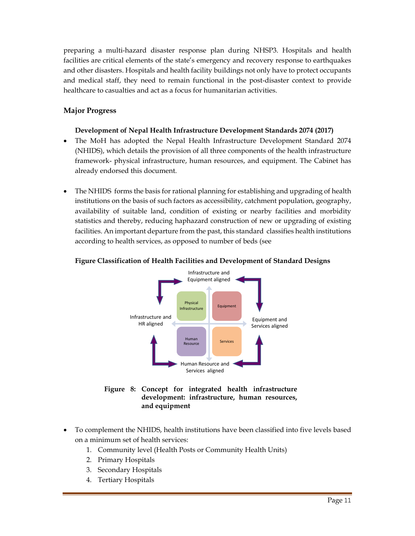preparing a multi-hazard disaster response plan during NHSP3. Hospitals and health facilities are critical elements of the state's emergency and recovery response to earthquakes and other disasters. Hospitals and health facility buildings not only have to protect occupants and medical staff, they need to remain functional in the post-disaster context to provide healthcare to casualties and act as a focus for humanitarian activities.

#### **Major Progress**

#### **Development of Nepal Health Infrastructure Development Standards 2074 (2017)**

- The MoH has adopted the Nepal Health Infrastructure Development Standard 2074 (NHIDS), which details the provision of all three components of the health infrastructure framework- physical infrastructure, human resources, and equipment. The Cabinet has already endorsed this document.
- The NHIDS forms the basis for rational planning for establishing and upgrading of health institutions on the basis of such factors as accessibility, catchment population, geography, availability of suitable land, condition of existing or nearby facilities and morbidity statistics and thereby, reducing haphazard construction of new or upgrading of existing facilities. An important departure from the past, this standard classifies health institutions according to health services, as opposed to number of beds (see



#### **Figure Classification of Health Facilities and Development of Standard Designs**

- **Figure 8: Concept for integrated health infrastructure development: infrastructure, human resources, and equipment**
- To complement the NHIDS, health institutions have been classified into five levels based on a minimum set of health services:
	- 1. Community level (Health Posts or Community Health Units)
	- 2. Primary Hospitals
	- 3. Secondary Hospitals
	- 4. Tertiary Hospitals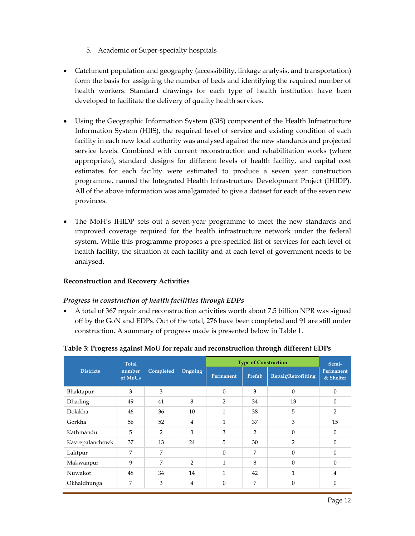- 5. Academic or Super-specialty hospitals
- Catchment population and geography (accessibility, linkage analysis, and transportation) form the basis for assigning the number of beds and identifying the required number of health workers. Standard drawings for each type of health institution have been developed to facilitate the delivery of quality health services.
- Using the Geographic Information System (GIS) component of the Health Infrastructure Information System (HIIS), the required level of service and existing condition of each facility in each new local authority was analysed against the new standards and projected service levels. Combined with current reconstruction and rehabilitation works (where appropriate), standard designs for different levels of health facility, and capital cost estimates for each facility were estimated to produce a seven year construction programme, named the Integrated Health Infrastructure Development Project (IHIDP). All of the above information was amalgamated to give a dataset for each of the seven new provinces.
- The MoH's IHIDP sets out a seven-year programme to meet the new standards and improved coverage required for the health infrastructure network under the federal system. While this programme proposes a pre-specified list of services for each level of health facility, the situation at each facility and at each level of government needs to be analysed.

#### **Reconstruction and Recovery Activities**

#### *Progress in construction of health facilities through EDPs*

 A total of 367 repair and reconstruction activities worth about 7.5 billion NPR was signed off by the GoN and EDPs. Out of the total, 276 have been completed and 91 are still under construction. A summary of progress made is presented below in Table 1.

|                  | <b>Total</b>      |           |                |                | <b>Type of Construction</b> |                     | Semi-                  |
|------------------|-------------------|-----------|----------------|----------------|-----------------------------|---------------------|------------------------|
| <b>Districts</b> | number<br>of MoUs | Completed | Ongoing        | Permanent      | Prefab                      | Repair/Retrofitting | Permanent<br>& Shelter |
| Bhaktapur        | 3                 | 3         |                | $\theta$       | 3                           | $\Omega$            | $\Omega$               |
| <b>Dhading</b>   | 49                | 41        | 8              | $\overline{2}$ | 34                          | 13                  | $\theta$               |
| Dolakha          | 46                | 36        | 10             | $\mathbf{1}$   | 38                          | 5                   | $\overline{2}$         |
| Gorkha           | 56                | 52        | 4              | $\mathbf{1}$   | 37                          | 3                   | 15                     |
| Kathmandu        | 5                 | 2         | 3              | 3              | $\overline{2}$              | $\Omega$            | $\theta$               |
| Kavrepalanchowk  | 37                | 13        | 24             | 5              | 30                          | $\overline{2}$      | $\Omega$               |
| Lalitpur         | 7                 | 7         |                | $\Omega$       | 7                           | $\Omega$            | $\theta$               |
| Makwanpur        | 9                 | 7         | $\overline{2}$ | $\mathbf{1}$   | 8                           | $\Omega$            | $\theta$               |
| Nuwakot          | 48                | 34        | 14             | $\mathbf{1}$   | 42                          | $\mathbf{1}$        | $\overline{4}$         |
| Okhaldhunga      | 7                 | 3         | $\overline{4}$ | $\theta$       | 7                           | $\mathbf{0}$        | $\theta$               |

#### **Table 3: Progress against MoU for repair and reconstruction through different EDPs**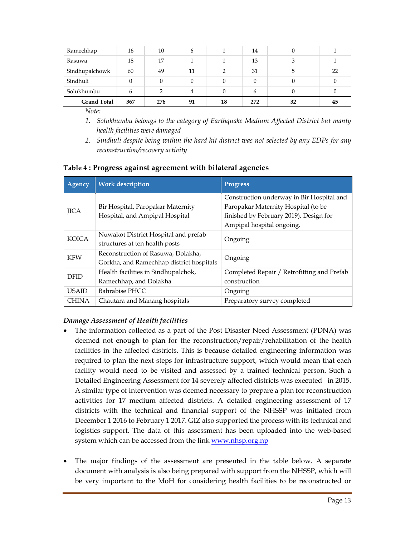| Ramechhap          | 16  | 10  | 6  |    | 14  |    |    |
|--------------------|-----|-----|----|----|-----|----|----|
| Rasuwa             | 18  | 17  |    |    | 13  |    |    |
| Sindhupalchowk     | 60  | 49  | 11 | ∍  | 31  | 5  | 22 |
| Sindhuli           |     |     |    |    |     |    |    |
| Solukhumbu         | h   |     |    |    | h   |    |    |
| <b>Grand Total</b> | 367 | 276 | 91 | 18 | 272 | 32 | 45 |

*Note:* 

- *1. Solukhumbu belongs to the category of Earthquake Medium Affected District but manty health facilities were damaged*
- *2. Sindhuli despite being within the hard hit district was not selected by any EDPs for any reconstruction/recovery activity*

|  | Table 4 : Progress against agreement with bilateral agencies |  |
|--|--------------------------------------------------------------|--|
|  |                                                              |  |

| <b>Agency</b> | <b>Work description</b>                                                        | <b>Progress</b>                                                                                                                                         |
|---------------|--------------------------------------------------------------------------------|---------------------------------------------------------------------------------------------------------------------------------------------------------|
| <b>JICA</b>   | Bir Hospital, Paropakar Maternity<br>Hospital, and Ampipal Hospital            | Construction underway in Bir Hospital and<br>Paropakar Maternity Hospital (to be<br>finished by February 2019), Design for<br>Ampipal hospital ongoing. |
| <b>KOICA</b>  | Nuwakot District Hospital and prefab<br>structures at ten health posts         | Ongoing                                                                                                                                                 |
| <b>KFW</b>    | Reconstruction of Rasuwa, Dolakha,<br>Gorkha, and Ramechhap district hospitals | Ongoing                                                                                                                                                 |
| <b>DFID</b>   | Health facilities in Sindhupalchok,<br>Ramechhap, and Dolakha                  | Completed Repair / Retrofitting and Prefab<br>construction                                                                                              |
| <b>USAID</b>  | Bahrabise PHCC                                                                 | Ongoing                                                                                                                                                 |
| <b>CHINA</b>  | Chautara and Manang hospitals                                                  | Preparatory survey completed                                                                                                                            |

#### *Damage Assessment of Health facilities*

- The information collected as a part of the Post Disaster Need Assessment (PDNA) was deemed not enough to plan for the reconstruction/repair/rehabilitation of the health facilities in the affected districts. This is because detailed engineering information was required to plan the next steps for infrastructure support, which would mean that each facility would need to be visited and assessed by a trained technical person. Such a Detailed Engineering Assessment for 14 severely affected districts was executed in 2015. A similar type of intervention was deemed necessary to prepare a plan for reconstruction activities for 17 medium affected districts. A detailed engineering assessment of 17 districts with the technical and financial support of the NHSSP was initiated from December 1 2016 to February 1 2017. GIZ also supported the process with its technical and logistics support. The data of this assessment has been uploaded into the web-based system which can be accessed from the link www.nhsp.org.np
- The major findings of the assessment are presented in the table below. A separate document with analysis is also being prepared with support from the NHSSP, which will be very important to the MoH for considering health facilities to be reconstructed or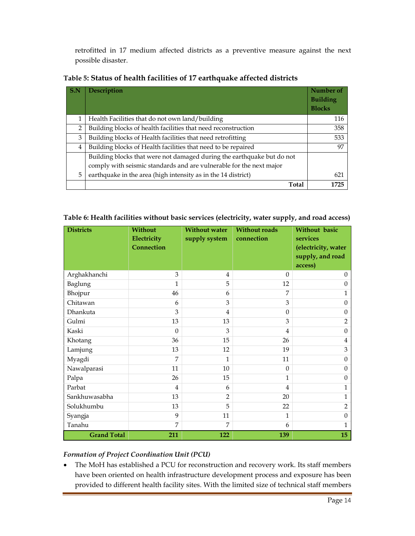retrofitted in 17 medium affected districts as a preventive measure against the next possible disaster.

| S.N            | <b>Description</b>                                                     | Number of<br><b>Building</b><br><b>Blocks</b> |
|----------------|------------------------------------------------------------------------|-----------------------------------------------|
|                | Health Facilities that do not own land/building                        | 116                                           |
| $\overline{2}$ | Building blocks of health facilities that need reconstruction          | 358                                           |
| 3              | Building blocks of Health facilities that need retrofitting            | 533                                           |
| 4              | Building blocks of Health facilities that need to be repaired          | 97                                            |
|                | Building blocks that were not damaged during the earthquake but do not |                                               |
|                | comply with seismic standards and are vulnerable for the next major    |                                               |
| 5              | earthquake in the area (high intensity as in the 14 district)          | 621                                           |
|                | Total                                                                  | 1725                                          |

| Table 5: Status of health facilities of 17 earthquake affected districts |  |
|--------------------------------------------------------------------------|--|
|--------------------------------------------------------------------------|--|

| Table 6: Health facilities without basic services (electricity, water supply, and road access) |  |  |  |
|------------------------------------------------------------------------------------------------|--|--|--|
|------------------------------------------------------------------------------------------------|--|--|--|

| <b>Districts</b>   | <b>Without</b><br>Electricity<br>Connection | <b>Without water</b><br>supply system | <b>Without roads</b><br>connection | <b>Without basic</b><br>services<br>(electricity, water<br>supply, and road<br>access) |
|--------------------|---------------------------------------------|---------------------------------------|------------------------------------|----------------------------------------------------------------------------------------|
| Arghakhanchi       | 3                                           | $\overline{4}$                        | $\mathbf{0}$                       | $\Omega$                                                                               |
| Baglung            | 1                                           | 5                                     | 12                                 | $\theta$                                                                               |
| Bhojpur            | 46                                          | 6                                     | 7                                  | 1                                                                                      |
| Chitawan           | 6                                           | 3                                     | 3                                  | $\Omega$                                                                               |
| Dhankuta           | 3                                           | 4                                     | $\boldsymbol{0}$                   | $\mathbf{0}$                                                                           |
| Gulmi              | 13                                          | 13                                    | 3                                  | $\overline{2}$                                                                         |
| Kaski              | $\Omega$                                    | 3                                     | 4                                  | $\boldsymbol{0}$                                                                       |
| Khotang            | 36                                          | 15                                    | 26                                 | $\overline{4}$                                                                         |
| Lamjung            | 13                                          | 12                                    | 19                                 | 3                                                                                      |
| Myagdi             | 7                                           | 1                                     | 11                                 | $\theta$                                                                               |
| Nawalparasi        | 11                                          | 10                                    | $\theta$                           | $\mathbf{0}$                                                                           |
| Palpa              | 26                                          | 15                                    | $\mathbf{1}$                       | $\mathbf{0}$                                                                           |
| Parbat             | $\overline{4}$                              | 6                                     | 4                                  | 1                                                                                      |
| Sankhuwasabha      | 13                                          | $\overline{2}$                        | 20                                 | 1                                                                                      |
| Solukhumbu         | 13                                          | 5                                     | 22                                 | $\overline{2}$                                                                         |
| Syangja            | 9                                           | 11                                    | 1                                  | $\boldsymbol{0}$                                                                       |
| Tanahu             | 7                                           | 7                                     | 6                                  | 1                                                                                      |
| <b>Grand Total</b> | 211                                         | 122                                   | 139                                | 15                                                                                     |

#### *Formation of Project Coordination Unit (PCU)*

 The MoH has established a PCU for reconstruction and recovery work. Its staff members have been oriented on health infrastructure development process and exposure has been provided to different health facility sites. With the limited size of technical staff members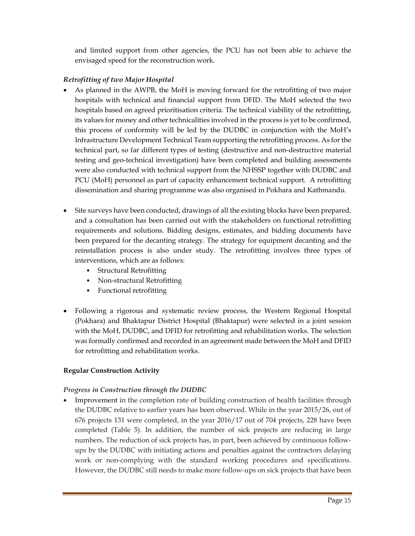and limited support from other agencies, the PCU has not been able to achieve the envisaged speed for the reconstruction work.

#### *Retrofitting of two Major Hospital*

- As planned in the AWPB, the MoH is moving forward for the retrofitting of two major hospitals with technical and financial support from DFID. The MoH selected the two hospitals based on agreed prioritisation criteria. The technical viability of the retrofitting, its values for money and other technicalities involved in the process is yet to be confirmed, this process of conformity will be led by the DUDBC in conjunction with the MoH's Infrastructure Development Technical Team supporting the retrofitting process. As for the technical part, so far different types of testing (destructive and non-destructive material testing and geo-technical investigation) have been completed and building assessments were also conducted with technical support from the NHSSP together with DUDBC and PCU (MoH) personnel as part of capacity enhancement technical support. A retrofitting dissemination and sharing programme was also organised in Pokhara and Kathmandu.
- Site surveys have been conducted, drawings of all the existing blocks have been prepared, and a consultation has been carried out with the stakeholders on functional retrofitting requirements and solutions. Bidding designs, estimates, and bidding documents have been prepared for the decanting strategy. The strategy for equipment decanting and the reinstallation process is also under study. The retrofitting involves three types of interventions, which are as follows:
	- Structural Retrofitting
	- Non-structural Retrofitting
	- Functional retrofitting
- Following a rigorous and systematic review process, the Western Regional Hospital (Pokhara) and Bhaktapur District Hospital (Bhaktapur) were selected in a joint session with the MoH, DUDBC, and DFID for retrofitting and rehabilitation works. The selection was formally confirmed and recorded in an agreement made between the MoH and DFID for retrofitting and rehabilitation works.

#### **Regular Construction Activity**

#### *Progress in Construction through the DUDBC*

 Improvement in the completion rate of building construction of health facilities through the DUDBC relative to earlier years has been observed. While in the year 2015/26, out of 676 projects 131 were completed, in the year 2016/17 out of 704 projects, 228 have been completed (Table 5). In addition, the number of sick projects are reducing in large numbers. The reduction of sick projects has, in part, been achieved by continuous followups by the DUDBC with initiating actions and penalties against the contractors delaying work or non-complying with the standard working procedures and specifications. However, the DUDBC still needs to make more follow-ups on sick projects that have been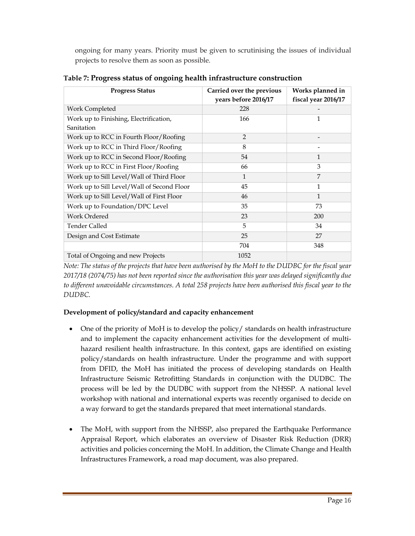ongoing for many years. Priority must be given to scrutinising the issues of individual projects to resolve them as soon as possible.

| <b>Progress Status</b>                     | Carried over the previous<br>years before 2016/17 | Works planned in<br>fiscal year 2016/17 |
|--------------------------------------------|---------------------------------------------------|-----------------------------------------|
| Work Completed                             | 228                                               |                                         |
| Work up to Finishing, Electrification,     | 166                                               | 1                                       |
| Sanitation                                 |                                                   |                                         |
| Work up to RCC in Fourth Floor/Roofing     | $\overline{2}$                                    |                                         |
| Work up to RCC in Third Floor/Roofing      | 8                                                 |                                         |
| Work up to RCC in Second Floor/Roofing     | 54                                                | 1                                       |
| Work up to RCC in First Floor/Roofing      | 66                                                | 3                                       |
| Work up to Sill Level/Wall of Third Floor  | $\mathbf{1}$                                      | 7                                       |
| Work up to Sill Level/Wall of Second Floor | 45                                                | 1                                       |
| Work up to Sill Level/Wall of First Floor  | 46                                                | 1                                       |
| Work up to Foundation/DPC Level            | 35                                                | 73                                      |
| Work Ordered                               | 23                                                | 200                                     |
| Tender Called                              | 5                                                 | 34                                      |
| Design and Cost Estimate                   | 25                                                | 27                                      |
|                                            | 704                                               | 348                                     |
| Total of Ongoing and new Projects          | 1052                                              |                                         |

**Table 7: Progress status of ongoing health infrastructure construction**

*Note: The status of the projects that have been authorised by the MoH to the DUDBC for the fiscal year 2017/18 (2074/75) has not been reported since the authorisation this year was delayed significantly due to different unavoidable circumstances. A total 258 projects have been authorised this fiscal year to the DUDBC.* 

#### **Development of policy/standard and capacity enhancement**

- One of the priority of MoH is to develop the policy/ standards on health infrastructure and to implement the capacity enhancement activities for the development of multihazard resilient health infrastructure. In this context, gaps are identified on existing policy/standards on health infrastructure. Under the programme and with support from DFID, the MoH has initiated the process of developing standards on Health Infrastructure Seismic Retrofitting Standards in conjunction with the DUDBC. The process will be led by the DUDBC with support from the NHSSP. A national level workshop with national and international experts was recently organised to decide on a way forward to get the standards prepared that meet international standards.
- The MoH, with support from the NHSSP, also prepared the Earthquake Performance Appraisal Report, which elaborates an overview of Disaster Risk Reduction (DRR) activities and policies concerning the MoH. In addition, the Climate Change and Health Infrastructures Framework, a road map document, was also prepared.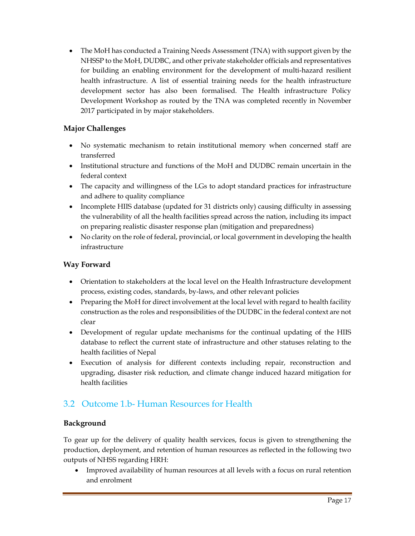The MoH has conducted a Training Needs Assessment (TNA) with support given by the NHSSP to the MoH, DUDBC, and other private stakeholder officials and representatives for building an enabling environment for the development of multi-hazard resilient health infrastructure. A list of essential training needs for the health infrastructure development sector has also been formalised. The Health infrastructure Policy Development Workshop as routed by the TNA was completed recently in November 2017 participated in by major stakeholders.

#### **Major Challenges**

- No systematic mechanism to retain institutional memory when concerned staff are transferred
- Institutional structure and functions of the MoH and DUDBC remain uncertain in the federal context
- The capacity and willingness of the LGs to adopt standard practices for infrastructure and adhere to quality compliance
- Incomplete HIIS database (updated for 31 districts only) causing difficulty in assessing the vulnerability of all the health facilities spread across the nation, including its impact on preparing realistic disaster response plan (mitigation and preparedness)
- No clarity on the role of federal, provincial, or local government in developing the health infrastructure

#### **Way Forward**

- Orientation to stakeholders at the local level on the Health Infrastructure development process, existing codes, standards, by-laws, and other relevant policies
- Preparing the MoH for direct involvement at the local level with regard to health facility construction as the roles and responsibilities of the DUDBC in the federal context are not clear
- Development of regular update mechanisms for the continual updating of the HIIS database to reflect the current state of infrastructure and other statuses relating to the health facilities of Nepal
- Execution of analysis for different contexts including repair, reconstruction and upgrading, disaster risk reduction, and climate change induced hazard mitigation for health facilities

## 3.2 Outcome 1.b- Human Resources for Health

#### **Background**

To gear up for the delivery of quality health services, focus is given to strengthening the production, deployment, and retention of human resources as reflected in the following two outputs of NHSS regarding HRH:

 Improved availability of human resources at all levels with a focus on rural retention and enrolment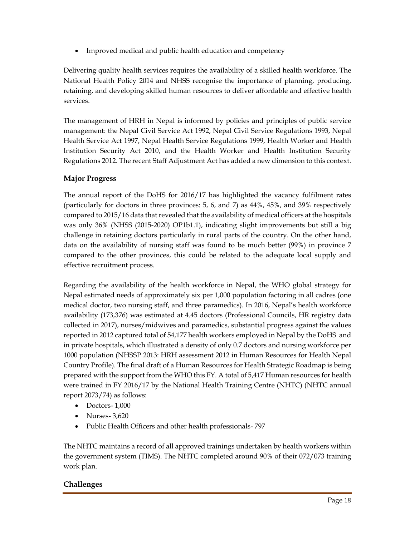• Improved medical and public health education and competency

Delivering quality health services requires the availability of a skilled health workforce. The National Health Policy 2014 and NHSS recognise the importance of planning, producing, retaining, and developing skilled human resources to deliver affordable and effective health services.

The management of HRH in Nepal is informed by policies and principles of public service management: the Nepal Civil Service Act 1992, Nepal Civil Service Regulations 1993, Nepal Health Service Act 1997, Nepal Health Service Regulations 1999, Health Worker and Health Institution Security Act 2010, and the Health Worker and Health Institution Security Regulations 2012. The recent Staff Adjustment Act has added a new dimension to this context.

#### **Major Progress**

The annual report of the DoHS for 2016/17 has highlighted the vacancy fulfilment rates (particularly for doctors in three provinces: 5, 6, and 7) as 44%, 45%, and 39% respectively compared to 2015/16 data that revealed that the availability of medical officers at the hospitals was only 36% (NHSS (2015-2020) OP1b1.1), indicating slight improvements but still a big challenge in retaining doctors particularly in rural parts of the country. On the other hand, data on the availability of nursing staff was found to be much better (99%) in province 7 compared to the other provinces, this could be related to the adequate local supply and effective recruitment process.

Regarding the availability of the health workforce in Nepal, the WHO global strategy for Nepal estimated needs of approximately six per 1,000 population factoring in all cadres (one medical doctor, two nursing staff, and three paramedics). In 2016, Nepal's health workforce availability (173,376) was estimated at 4.45 doctors (Professional Councils, HR registry data collected in 2017), nurses/midwives and paramedics, substantial progress against the values reported in 2012 captured total of 54,177 health workers employed in Nepal by the DoHS and in private hospitals, which illustrated a density of only 0.7 doctors and nursing workforce per 1000 population (NHSSP 2013: HRH assessment 2012 in Human Resources for Health Nepal Country Profile). The final draft of a Human Resources for Health Strategic Roadmap is being prepared with the support from the WHO this FY. A total of 5,417 Human resources for health were trained in FY 2016/17 by the National Health Training Centre (NHTC) (NHTC annual report 2073/74) as follows:

- Doctors- 1,000
- Nurses- 3,620
- Public Health Officers and other health professionals-797

The NHTC maintains a record of all approved trainings undertaken by health workers within the government system (TIMS). The NHTC completed around 90% of their 072/073 training work plan.

#### **Challenges**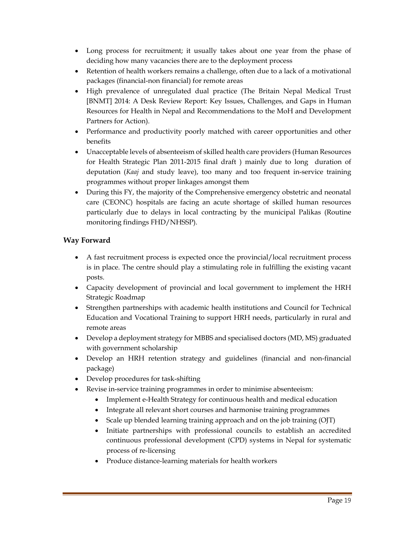- Long process for recruitment; it usually takes about one year from the phase of deciding how many vacancies there are to the deployment process
- Retention of health workers remains a challenge, often due to a lack of a motivational packages (financial-non financial) for remote areas
- High prevalence of unregulated dual practice (The Britain Nepal Medical Trust [BNMT] 2014: A Desk Review Report: Key Issues, Challenges, and Gaps in Human Resources for Health in Nepal and Recommendations to the MoH and Development Partners for Action).
- Performance and productivity poorly matched with career opportunities and other benefits
- Unacceptable levels of absenteeism of skilled health care providers (Human Resources for Health Strategic Plan 2011-2015 final draft ) mainly due to long duration of deputation (*Kaaj* and study leave), too many and too frequent in-service training programmes without proper linkages amongst them
- During this FY, the majority of the Comprehensive emergency obstetric and neonatal care (CEONC) hospitals are facing an acute shortage of skilled human resources particularly due to delays in local contracting by the municipal Palikas (Routine monitoring findings FHD/NHSSP).

#### **Way Forward**

- A fast recruitment process is expected once the provincial/local recruitment process is in place. The centre should play a stimulating role in fulfilling the existing vacant posts.
- Capacity development of provincial and local government to implement the HRH Strategic Roadmap
- Strengthen partnerships with academic health institutions and Council for Technical Education and Vocational Training to support HRH needs, particularly in rural and remote areas
- Develop a deployment strategy for MBBS and specialised doctors (MD, MS) graduated with government scholarship
- Develop an HRH retention strategy and guidelines (financial and non-financial package)
- Develop procedures for task-shifting
- Revise in-service training programmes in order to minimise absenteeism:
	- Implement e-Health Strategy for continuous health and medical education
	- Integrate all relevant short courses and harmonise training programmes
	- Scale up blended learning training approach and on the job training (OJT)
	- Initiate partnerships with professional councils to establish an accredited continuous professional development (CPD) systems in Nepal for systematic process of re-licensing
	- Produce distance-learning materials for health workers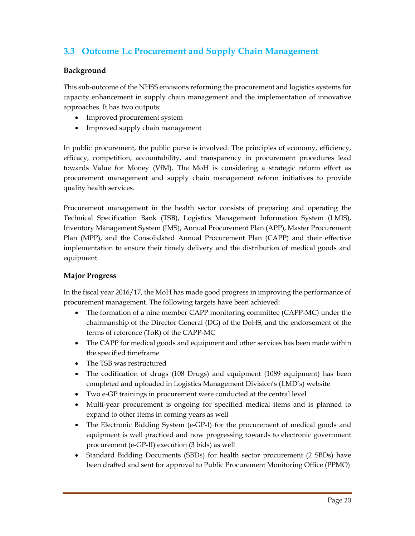## **3.3 Outcome 1.c Procurement and Supply Chain Management**

#### **Background**

This sub-outcome of the NHSS envisions reforming the procurement and logistics systems for capacity enhancement in supply chain management and the implementation of innovative approaches. It has two outputs:

- Improved procurement system
- Improved supply chain management

In public procurement, the public purse is involved. The principles of economy, efficiency, efficacy, competition, accountability, and transparency in procurement procedures lead towards Value for Money (VfM). The MoH is considering a strategic reform effort as procurement management and supply chain management reform initiatives to provide quality health services.

Procurement management in the health sector consists of preparing and operating the Technical Specification Bank (TSB), Logistics Management Information System (LMIS), Inventory Management System (IMS), Annual Procurement Plan (APP), Master Procurement Plan (MPP), and the Consolidated Annual Procurement Plan (CAPP) and their effective implementation to ensure their timely delivery and the distribution of medical goods and equipment.

#### **Major Progress**

In the fiscal year 2016/17, the MoH has made good progress in improving the performance of procurement management. The following targets have been achieved:

- The formation of a nine member CAPP monitoring committee (CAPP-MC) under the chairmanship of the Director General (DG) of the DoHS, and the endorsement of the terms of reference (ToR) of the CAPP-MC
- The CAPP for medical goods and equipment and other services has been made within the specified timeframe
- The TSB was restructured
- The codification of drugs (108 Drugs) and equipment (1089 equipment) has been completed and uploaded in Logistics Management Division's (LMD's) website
- Two e-GP trainings in procurement were conducted at the central level
- Multi-year procurement is ongoing for specified medical items and is planned to expand to other items in coming years as well
- The Electronic Bidding System (e-GP-I) for the procurement of medical goods and equipment is well practiced and now progressing towards to electronic government procurement (e-GP-II) execution (3 bids) as well
- Standard Bidding Documents (SBDs) for health sector procurement (2 SBDs) have been drafted and sent for approval to Public Procurement Monitoring Office (PPMO)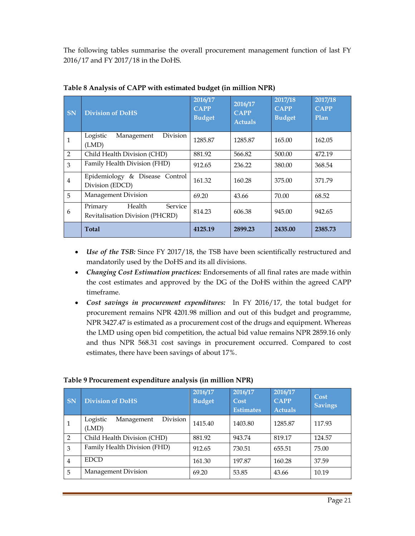The following tables summarise the overall procurement management function of last FY 2016/17 and FY 2017/18 in the DoHS.

| SN             | <b>Division of DoHS</b>                                         | 2016/17<br><b>CAPP</b><br><b>Budget</b> | 2016/17<br><b>CAPP</b><br><b>Actuals</b> | 2017/18<br><b>CAPP</b><br><b>Budget</b> | 2017/18<br><b>CAPP</b><br>Plan |
|----------------|-----------------------------------------------------------------|-----------------------------------------|------------------------------------------|-----------------------------------------|--------------------------------|
| 1              | Logistic<br>Division<br>Management<br>(LMD)                     | 1285.87                                 | 1285.87                                  | 165.00                                  | 162.05                         |
| $\overline{2}$ | Child Health Division (CHD)                                     | 881.92                                  | 566.82                                   | 500.00                                  | 472.19                         |
| 3              | Family Health Division (FHD)                                    | 912.65                                  | 236.22                                   | 380.00                                  | 368.54                         |
| $\overline{4}$ | Epidemiology & Disease Control<br>Division (EDCD)               | 161.32                                  | 160.28                                   | 375.00                                  | 371.79                         |
| 5              | Management Division                                             | 69.20                                   | 43.66                                    | 70.00                                   | 68.52                          |
| 6              | Health<br>Service<br>Primary<br>Revitalisation Division (PHCRD) | 814.23                                  | 606.38                                   | 945.00                                  | 942.65                         |
|                | <b>Total</b>                                                    | 4125.19                                 | 2899.23                                  | 2435.00                                 | 2385.73                        |

**Table 8 Analysis of CAPP with estimated budget (in million NPR)**

- *Use of the TSB:* Since FY 2017/18, the TSB have been scientifically restructured and mandatorily used by the DoHS and its all divisions.
- *Changing Cost Estimation practices:* Endorsements of all final rates are made within the cost estimates and approved by the DG of the DoHS within the agreed CAPP timeframe.
- *Cost savings in procurement expenditures:*In FY 2016/17, the total budget for procurement remains NPR 4201.98 million and out of this budget and programme, NPR 3427.47 is estimated as a procurement cost of the drugs and equipment. Whereas the LMD using open bid competition, the actual bid value remains NPR 2859.16 only and thus NPR 568.31 cost savings in procurement occurred. Compared to cost estimates, there have been savings of about 17%.

| <b>SN</b>      | <b>Division of DoHS</b>                            | 2016/17<br><b>Budget</b> | 2016/17<br>Cost<br><b>Estimates</b> | 2016/17<br><b>CAPP</b><br><b>Actuals</b> | Cost<br><b>Savings</b> |
|----------------|----------------------------------------------------|--------------------------|-------------------------------------|------------------------------------------|------------------------|
| 1              | <b>Division</b><br>Logistic<br>Management<br>(LMD) | 1415.40                  | 1403.80                             | 1285.87                                  | 117.93                 |
| $\overline{2}$ | Child Health Division (CHD)                        | 881.92                   | 943.74                              | 819.17                                   | 124.57                 |
| 3              | Family Health Division (FHD)                       | 912.65                   | 730.51                              | 655.51                                   | 75.00                  |
| $\overline{4}$ | <b>EDCD</b>                                        | 161.30                   | 197.87                              | 160.28                                   | 37.59                  |
| 5              | Management Division                                | 69.20                    | 53.85                               | 43.66                                    | 10.19                  |

#### **Table 9 Procurement expenditure analysis (in million NPR)**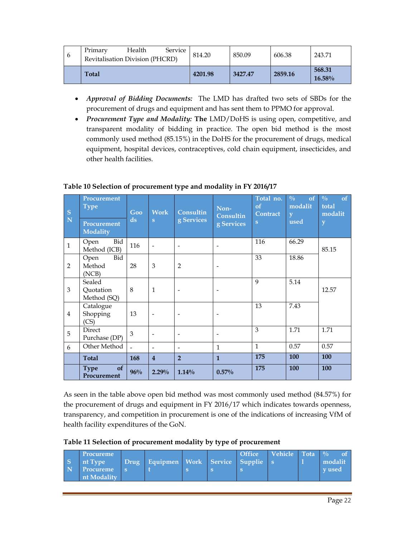| $\mathbf{6}$ | Primary<br>Revitalisation Division (PHCRD) | Health | Service | 814.20  | 850.09  | 606.38  | 243.71              |
|--------------|--------------------------------------------|--------|---------|---------|---------|---------|---------------------|
|              | <b>Total</b>                               |        |         | 4201.98 | 3427.47 | 2859.16 | 568.31<br>$16.58\%$ |

- *Approval of Bidding Documents:*The LMD has drafted two sets of SBDs for the procurement of drugs and equipment and has sent them to PPMO for approval.
- *Procurement Type and Modality:* **The** LMD/DoHS is using open, competitive, and transparent modality of bidding in practice. The open bid method is the most commonly used method (85.15%) in the DoHS for the procurement of drugs, medical equipment, hospital devices, contraceptives, cold chain equipment, insecticides, and other health facilities.

| $\mathbf S$<br>$\overline{\mathbf{N}}$ | Procurement<br>Type<br>Procurement<br><b>Modality</b> | Goo<br>$\rm ds$ | <b>Work</b><br>$\mathbf{s}$ | <b>Consultin</b><br>g Services | Non-<br>Consultin<br>g Services | Total no.<br>of<br>Contract<br>S | $\frac{0}{0}$<br>of<br>modalit<br>V<br>used | $\frac{0}{0}$<br>of<br>total<br>modalit<br>y |
|----------------------------------------|-------------------------------------------------------|-----------------|-----------------------------|--------------------------------|---------------------------------|----------------------------------|---------------------------------------------|----------------------------------------------|
| $\mathbf{1}$                           | Bid<br>Open<br>Method (ICB)                           | 116             |                             | $\overline{\phantom{a}}$       |                                 | 116                              | 66.29                                       | 85.15                                        |
| 2                                      | Bid<br>Open<br>Method<br>(NCB)                        | 28              | 3                           | $\overline{2}$                 |                                 | 33                               | 18.86                                       |                                              |
| 3                                      | Sealed<br>Quotation<br>Method (SQ)                    | 8               | $\mathbf{1}$                |                                |                                 | 9                                | 5.14                                        | 12.57                                        |
| $\overline{4}$                         | Catalogue<br>Shopping<br>(CS)                         | 13              |                             |                                |                                 | 13                               | 7.43                                        |                                              |
| 5                                      | Direct<br>Purchase (DP)                               | 3               |                             |                                |                                 | 3                                | 1.71                                        | 1.71                                         |
| 6                                      | Other Method                                          |                 | $\overline{\phantom{0}}$    | $\overline{\phantom{a}}$       | $\mathbf{1}$                    | $\mathbf{1}$                     | 0.57                                        | 0.57                                         |
|                                        | <b>Total</b>                                          | 168             | $\overline{4}$              | $\overline{2}$                 | $\mathbf{1}$                    | 175                              | 100                                         | 100                                          |
|                                        | of<br><b>Type</b><br>Procurement                      | 96%             | $2.29\%$                    | $1.14\%$                       | 0.57%                           | 175                              | 100                                         | 100                                          |

#### **Table 10 Selection of procurement type and modality in FY 2016/17**

As seen in the table above open bid method was most commonly used method (84.57%) for the procurement of drugs and equipment in FY 2016/17 which indicates towards openness, transparency, and competition in procurement is one of the indications of increasing VfM of health facility expenditures of the GoN.

**Table 11 Selection of procurement modality by type of procurement**

|  | Procureme<br>nt Type<br><b>Procureme</b><br>nt Modality |  | Drug Equipmen Work Service Supplie s |  |  | <b>Office</b> | <b>Vehicle</b> Tota $\frac{0}{0}$ |  | modalit<br>v used |
|--|---------------------------------------------------------|--|--------------------------------------|--|--|---------------|-----------------------------------|--|-------------------|
|--|---------------------------------------------------------|--|--------------------------------------|--|--|---------------|-----------------------------------|--|-------------------|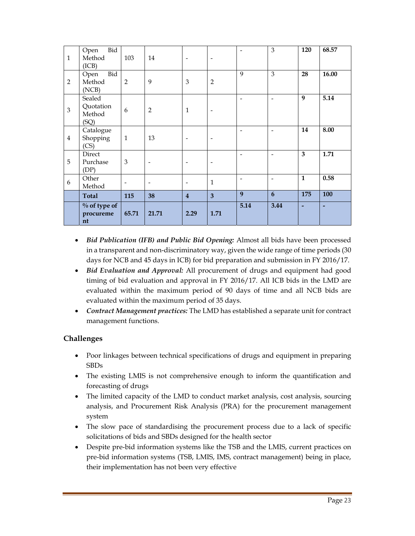| $\mathbf{1}$   | Bid<br>Open<br>Method<br>(ICB)        | 103                      | 14                       | $\overline{\phantom{a}}$ | $\overline{\phantom{a}}$ | $\overline{\phantom{a}}$     | 3                            | 120            | 68.57 |
|----------------|---------------------------------------|--------------------------|--------------------------|--------------------------|--------------------------|------------------------------|------------------------------|----------------|-------|
| $\overline{2}$ | Bid<br>Open<br>Method<br>(NCB)        | $\overline{2}$           | 9                        | $\mathfrak{B}$           | $\overline{2}$           | $\mathbf Q$                  | 3                            | 28             | 16.00 |
| 3              | Sealed<br>Quotation<br>Method<br>(SQ) | 6                        | $\overline{2}$           | $\mathbf{1}$             | $\overline{\phantom{a}}$ | $\overline{\phantom{a}}$     | $\overline{\phantom{a}}$     | 9              | 5.14  |
| $\overline{4}$ | Catalogue<br>Shopping<br>(CS)         | $\mathbf{1}$             | 13                       | $\overline{\phantom{a}}$ | $\overline{\phantom{a}}$ | $\qquad \qquad \blacksquare$ | $\qquad \qquad \blacksquare$ | 14             | 8.00  |
| 5              | Direct<br>Purchase<br>(DP)            | $\mathfrak{B}$           |                          | $\overline{\phantom{a}}$ | $\overline{\phantom{a}}$ | $\overline{\phantom{a}}$     | $\qquad \qquad \blacksquare$ | 3              | 1.71  |
| 6              | Other<br>Method                       | $\overline{\phantom{a}}$ | $\overline{\phantom{a}}$ | $\overline{\phantom{a}}$ | $\mathbf{1}$             | $\overline{\phantom{a}}$     | $\overline{\phantom{a}}$     | $\mathbf{1}$   | 0.58  |
|                | <b>Total</b>                          | 115                      | 38                       | $\overline{4}$           | $\overline{\mathbf{3}}$  | 9                            | 6                            | 175            | 100   |
|                | $%$ of type of<br>procureme<br>nt     | 65.71                    | 21.71                    | 2.29                     | 1.71                     | 5.14                         | 3.44                         | $\overline{a}$ |       |

- *Bid Publication (IFB) and Public Bid Opening:* Almost all bids have been processed in a transparent and non-discriminatory way, given the wide range of time periods (30 days for NCB and 45 days in ICB) for bid preparation and submission in FY 2016/17.
- *Bid Evaluation and Approval:* All procurement of drugs and equipment had good timing of bid evaluation and approval in FY 2016/17. All ICB bids in the LMD are evaluated within the maximum period of 90 days of time and all NCB bids are evaluated within the maximum period of 35 days.
- *Contract Management practices:* The LMD has established a separate unit for contract management functions.

#### **Challenges**

- Poor linkages between technical specifications of drugs and equipment in preparing SBDs
- The existing LMIS is not comprehensive enough to inform the quantification and forecasting of drugs
- The limited capacity of the LMD to conduct market analysis, cost analysis, sourcing analysis, and Procurement Risk Analysis (PRA) for the procurement management system
- The slow pace of standardising the procurement process due to a lack of specific solicitations of bids and SBDs designed for the health sector
- Despite pre-bid information systems like the TSB and the LMIS, current practices on pre-bid information systems (TSB, LMIS, IMS, contract management) being in place, their implementation has not been very effective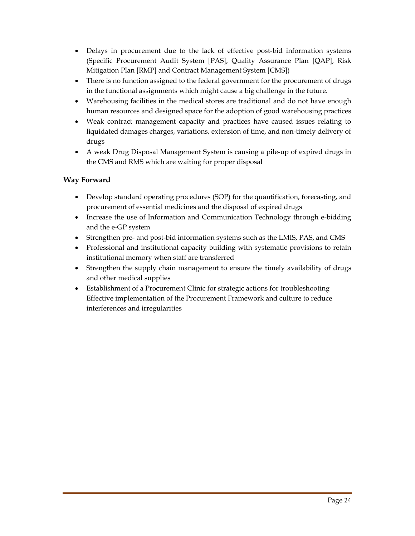- Delays in procurement due to the lack of effective post-bid information systems (Specific Procurement Audit System [PAS], Quality Assurance Plan [QAP], Risk Mitigation Plan [RMP] and Contract Management System [CMS])
- There is no function assigned to the federal government for the procurement of drugs in the functional assignments which might cause a big challenge in the future.
- Warehousing facilities in the medical stores are traditional and do not have enough human resources and designed space for the adoption of good warehousing practices
- Weak contract management capacity and practices have caused issues relating to liquidated damages charges, variations, extension of time, and non-timely delivery of drugs
- A weak Drug Disposal Management System is causing a pile-up of expired drugs in the CMS and RMS which are waiting for proper disposal

#### **Way Forward**

- Develop standard operating procedures (SOP) for the quantification, forecasting, and procurement of essential medicines and the disposal of expired drugs
- Increase the use of Information and Communication Technology through e-bidding and the e-GP system
- Strengthen pre- and post-bid information systems such as the LMIS, PAS, and CMS
- Professional and institutional capacity building with systematic provisions to retain institutional memory when staff are transferred
- Strengthen the supply chain management to ensure the timely availability of drugs and other medical supplies
- Establishment of a Procurement Clinic for strategic actions for troubleshooting Effective implementation of the Procurement Framework and culture to reduce interferences and irregularities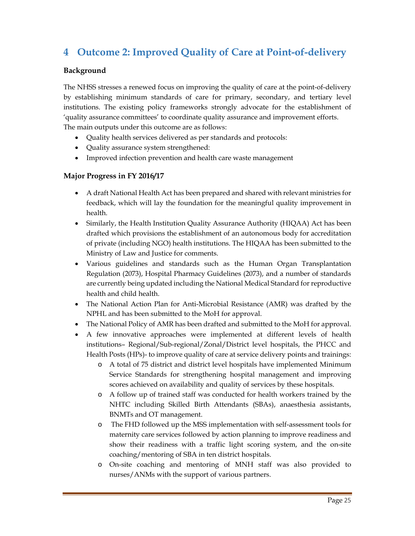# **4 Outcome 2: Improved Quality of Care at Point-of-delivery**

#### **Background**

The NHSS stresses a renewed focus on improving the quality of care at the point-of-delivery by establishing minimum standards of care for primary, secondary, and tertiary level institutions. The existing policy frameworks strongly advocate for the establishment of 'quality assurance committees' to coordinate quality assurance and improvement efforts. The main outputs under this outcome are as follows:

- Quality health services delivered as per standards and protocols:
- Quality assurance system strengthened:
- Improved infection prevention and health care waste management

#### **Major Progress in FY 2016/17**

- A draft National Health Act has been prepared and shared with relevant ministries for feedback, which will lay the foundation for the meaningful quality improvement in health.
- Similarly, the Health Institution Quality Assurance Authority (HIQAA) Act has been drafted which provisions the establishment of an autonomous body for accreditation of private (including NGO) health institutions. The HIQAA has been submitted to the Ministry of Law and Justice for comments.
- Various guidelines and standards such as the Human Organ Transplantation Regulation (2073), Hospital Pharmacy Guidelines (2073), and a number of standards are currently being updated including the National Medical Standard for reproductive health and child health.
- The National Action Plan for Anti-Microbial Resistance (AMR) was drafted by the NPHL and has been submitted to the MoH for approval.
- The National Policy of AMR has been drafted and submitted to the MoH for approval.
- A few innovative approaches were implemented at different levels of health institutions– Regional/Sub-regional/Zonal/District level hospitals, the PHCC and Health Posts (HPs)- to improve quality of care at service delivery points and trainings:
	- o A total of 75 district and district level hospitals have implemented Minimum Service Standards for strengthening hospital management and improving scores achieved on availability and quality of services by these hospitals.
	- o A follow up of trained staff was conducted for health workers trained by the NHTC including Skilled Birth Attendants (SBAs), anaesthesia assistants, BNMTs and OT management.
	- o The FHD followed up the MSS implementation with self-assessment tools for maternity care services followed by action planning to improve readiness and show their readiness with a traffic light scoring system, and the on-site coaching/mentoring of SBA in ten district hospitals.
	- o On-site coaching and mentoring of MNH staff was also provided to nurses/ANMs with the support of various partners.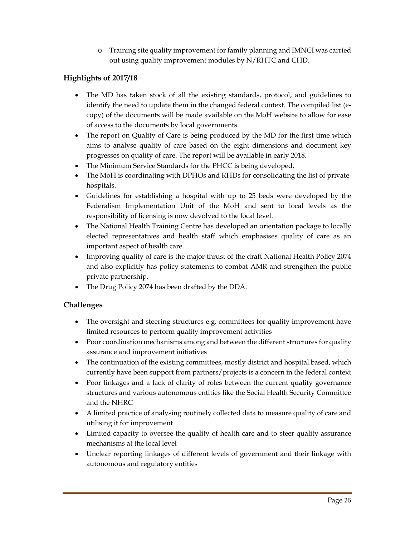o Training site quality improvement for family planning and IMNCI was carried out using quality improvement modules by N/RHTC and CHD.

#### **Highlights of 2017/18**

- The MD has taken stock of all the existing standards, protocol, and guidelines to identify the need to update them in the changed federal context. The compiled list (ecopy) of the documents will be made available on the MoH website to allow for ease of access to the documents by local governments.
- The report on Quality of Care is being produced by the MD for the first time which aims to analyse quality of care based on the eight dimensions and document key progresses on quality of care. The report will be available in early 2018.
- The Minimum Service Standards for the PHCC is being developed.
- The MoH is coordinating with DPHOs and RHDs for consolidating the list of private hospitals.
- Guidelines for establishing a hospital with up to 25 beds were developed by the Federalism Implementation Unit of the MoH and sent to local levels as the responsibility of licensing is now devolved to the local level.
- The National Health Training Centre has developed an orientation package to locally elected representatives and health staff which emphasises quality of care as an important aspect of health care.
- Improving quality of care is the major thrust of the draft National Health Policy 2074 and also explicitly has policy statements to combat AMR and strengthen the public private partnership.
- The Drug Policy 2074 has been drafted by the DDA.

#### **Challenges**

- The oversight and steering structures e.g. committees for quality improvement have limited resources to perform quality improvement activities
- Poor coordination mechanisms among and between the different structures for quality assurance and improvement initiatives
- The continuation of the existing committees, mostly district and hospital based, which currently have been support from partners/projects is a concern in the federal context
- Poor linkages and a lack of clarity of roles between the current quality governance structures and various autonomous entities like the Social Health Security Committee and the NHRC
- A limited practice of analysing routinely collected data to measure quality of care and utilising it for improvement
- Limited capacity to oversee the quality of health care and to steer quality assurance mechanisms at the local level
- Unclear reporting linkages of different levels of government and their linkage with autonomous and regulatory entities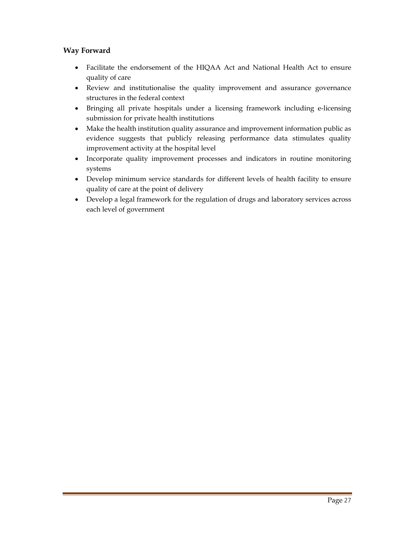#### **Way Forward**

- Facilitate the endorsement of the HIQAA Act and National Health Act to ensure quality of care
- Review and institutionalise the quality improvement and assurance governance structures in the federal context
- Bringing all private hospitals under a licensing framework including e-licensing submission for private health institutions
- Make the health institution quality assurance and improvement information public as evidence suggests that publicly releasing performance data stimulates quality improvement activity at the hospital level
- Incorporate quality improvement processes and indicators in routine monitoring systems
- Develop minimum service standards for different levels of health facility to ensure quality of care at the point of delivery
- Develop a legal framework for the regulation of drugs and laboratory services across each level of government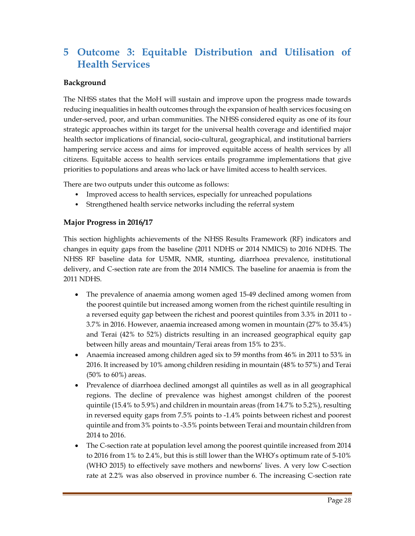# **5 Outcome 3: Equitable Distribution and Utilisation of Health Services**

#### **Background**

The NHSS states that the MoH will sustain and improve upon the progress made towards reducing inequalities in health outcomes through the expansion of health services focusing on under-served, poor, and urban communities. The NHSS considered equity as one of its four strategic approaches within its target for the universal health coverage and identified major health sector implications of financial, socio-cultural, geographical, and institutional barriers hampering service access and aims for improved equitable access of health services by all citizens. Equitable access to health services entails programme implementations that give priorities to populations and areas who lack or have limited access to health services.

There are two outputs under this outcome as follows:

- Improved access to health services, especially for unreached populations
- Strengthened health service networks including the referral system

#### **Major Progress in 2016/17**

This section highlights achievements of the NHSS Results Framework (RF) indicators and changes in equity gaps from the baseline (2011 NDHS or 2014 NMICS) to 2016 NDHS. The NHSS RF baseline data for U5MR, NMR, stunting, diarrhoea prevalence, institutional delivery, and C-section rate are from the 2014 NMICS. The baseline for anaemia is from the 2011 NDHS.

- The prevalence of anaemia among women aged 15-49 declined among women from the poorest quintile but increased among women from the richest quintile resulting in a reversed equity gap between the richest and poorest quintiles from 3.3% in 2011 to - 3.7% in 2016. However, anaemia increased among women in mountain (27% to 35.4%) and Terai (42% to 52%) districts resulting in an increased geographical equity gap between hilly areas and mountain/Terai areas from 15% to 23%.
- Anaemia increased among children aged six to 59 months from 46% in 2011 to 53% in 2016. It increased by 10% among children residing in mountain (48% to 57%) and Terai (50% to 60%) areas.
- Prevalence of diarrhoea declined amongst all quintiles as well as in all geographical regions. The decline of prevalence was highest amongst children of the poorest quintile (15.4% to 5.9%) and children in mountain areas (from 14.7% to 5.2%), resulting in reversed equity gaps from 7.5% points to -1.4% points between richest and poorest quintile and from 3% points to -3.5% points between Terai and mountain children from 2014 to 2016.
- The C-section rate at population level among the poorest quintile increased from 2014 to 2016 from 1% to 2.4%, but this is still lower than the WHO's optimum rate of 5-10% (WHO 2015) to effectively save mothers and newborns' lives. A very low C-section rate at 2.2% was also observed in province number 6. The increasing C-section rate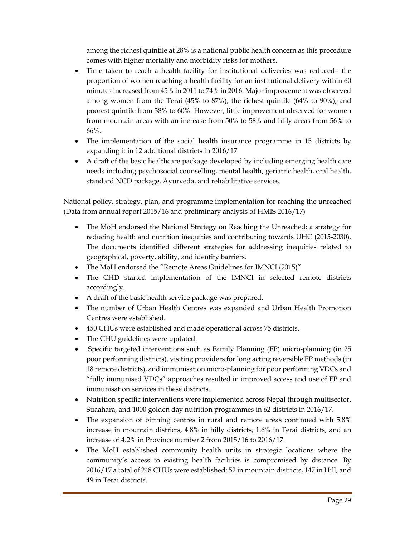among the richest quintile at 28% is a national public health concern as this procedure comes with higher mortality and morbidity risks for mothers.

- Time taken to reach a health facility for institutional deliveries was reduced– the proportion of women reaching a health facility for an institutional delivery within 60 minutes increased from 45% in 2011 to 74% in 2016. Major improvement was observed among women from the Terai (45% to 87%), the richest quintile (64% to 90%), and poorest quintile from 38% to 60%. However, little improvement observed for women from mountain areas with an increase from 50% to 58% and hilly areas from 56% to 66%.
- The implementation of the social health insurance programme in 15 districts by expanding it in 12 additional districts in 2016/17
- A draft of the basic healthcare package developed by including emerging health care needs including psychosocial counselling, mental health, geriatric health, oral health, standard NCD package, Ayurveda, and rehabilitative services.

National policy, strategy, plan, and programme implementation for reaching the unreached (Data from annual report 2015/16 and preliminary analysis of HMIS 2016/17)

- The MoH endorsed the National Strategy on Reaching the Unreached: a strategy for reducing health and nutrition inequities and contributing towards UHC (2015-2030). The documents identified different strategies for addressing inequities related to geographical, poverty, ability, and identity barriers.
- The MoH endorsed the "Remote Areas Guidelines for IMNCI (2015)".
- The CHD started implementation of the IMNCI in selected remote districts accordingly.
- A draft of the basic health service package was prepared.
- The number of Urban Health Centres was expanded and Urban Health Promotion Centres were established.
- 450 CHUs were established and made operational across 75 districts.
- The CHU guidelines were updated.
- Specific targeted interventions such as Family Planning (FP) micro-planning (in 25 poor performing districts), visiting providers for long acting reversible FP methods (in 18 remote districts), and immunisation micro-planning for poor performing VDCs and "fully immunised VDCs" approaches resulted in improved access and use of FP and immunisation services in these districts.
- Nutrition specific interventions were implemented across Nepal through multisector, Suaahara, and 1000 golden day nutrition programmes in 62 districts in 2016/17.
- The expansion of birthing centres in rural and remote areas continued with 5.8% increase in mountain districts, 4.8% in hilly districts, 1.6% in Terai districts, and an increase of 4.2% in Province number 2 from 2015/16 to 2016/17.
- The MoH established community health units in strategic locations where the community's access to existing health facilities is compromised by distance. By 2016/17 a total of 248 CHUs were established: 52 in mountain districts, 147 in Hill, and 49 in Terai districts.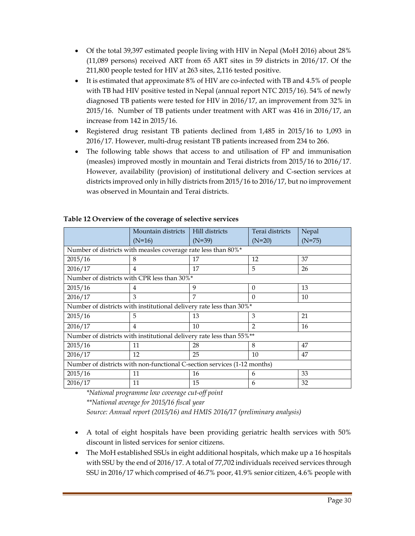- Of the total 39,397 estimated people living with HIV in Nepal (MoH 2016) about 28% (11,089 persons) received ART from 65 ART sites in 59 districts in 2016/17. Of the 211,800 people tested for HIV at 263 sites, 2,116 tested positive.
- It is estimated that approximate 8% of HIV are co-infected with TB and 4.5% of people with TB had HIV positive tested in Nepal (annual report NTC 2015/16). 54% of newly diagnosed TB patients were tested for HIV in 2016/17, an improvement from 32% in 2015/16. Number of TB patients under treatment with ART was 416 in 2016/17, an increase from 142 in 2015/16.
- Registered drug resistant TB patients declined from 1,485 in 2015/16 to 1,093 in 2016/17. However, multi-drug resistant TB patients increased from 234 to 266.
- The following table shows that access to and utilisation of FP and immunisation (measles) improved mostly in mountain and Terai districts from 2015/16 to 2016/17. However, availability (provision) of institutional delivery and C-section services at districts improved only in hilly districts from 2015/16 to 2016/17, but no improvement was observed in Mountain and Terai districts.

|                                                                          | Mountain districts  | Hill districts | Terai districts | Nepal    |  |  |  |
|--------------------------------------------------------------------------|---------------------|----------------|-----------------|----------|--|--|--|
|                                                                          | $(N=16)$            | $(N=39)$       | $(N=20)$        | $(N=75)$ |  |  |  |
| Number of districts with measles coverage rate less than 80%*            |                     |                |                 |          |  |  |  |
| 2015/16                                                                  | 8                   | 17             | 12              | 37       |  |  |  |
| 2016/17                                                                  | $\overline{4}$      | 17             | 5               | 26       |  |  |  |
| Number of districts with CPR less than 30%*                              |                     |                |                 |          |  |  |  |
| 2015/16                                                                  | 4                   | 9              | $\Omega$        | 13       |  |  |  |
| 2016/17                                                                  | 3                   | 7              | $\Omega$        | 10       |  |  |  |
| Number of districts with institutional delivery rate less than 30%*      |                     |                |                 |          |  |  |  |
| 2015/16                                                                  | 5                   | 13             | 3               | 21       |  |  |  |
| 2016/17                                                                  | $\overline{4}$      | 10             | $\mathcal{P}$   | 16       |  |  |  |
| Number of districts with institutional delivery rate less than 55%**     |                     |                |                 |          |  |  |  |
| 2015/16                                                                  | 11                  | 28             | 8               | 47       |  |  |  |
| 2016/17                                                                  | 12                  | 25             | 10              | 47       |  |  |  |
| Number of districts with non-functional C-section services (1-12 months) |                     |                |                 |          |  |  |  |
| 2015/16                                                                  | 11<br>33<br>16<br>6 |                |                 |          |  |  |  |
| 2016/17                                                                  | 11                  | 15             | 6               | 32       |  |  |  |

#### **Table 12 Overview of the coverage of selective services**

*\*National programme low coverage cut-off point \*\*National average for 2015/16 fiscal year* 

*Source: Annual report (2015/16) and HMIS 2016/17 (preliminary analysis)* 

- A total of eight hospitals have been providing geriatric health services with 50% discount in listed services for senior citizens.
- The MoH established SSUs in eight additional hospitals, which make up a 16 hospitals with SSU by the end of 2016/17. A total of 77,702 individuals received services through SSU in 2016/17 which comprised of 46.7% poor, 41.9% senior citizen, 4.6% people with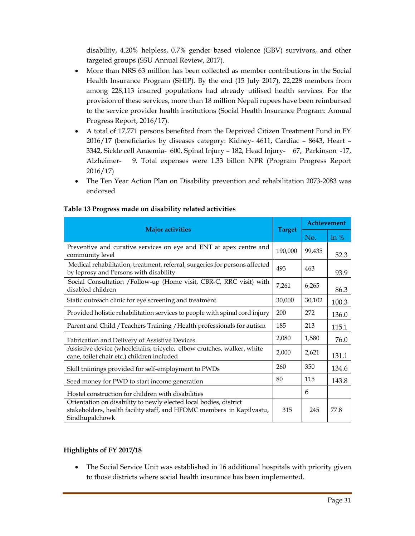disability, 4.20% helpless, 0.7% gender based violence (GBV) survivors, and other targeted groups (SSU Annual Review, 2017).

- More than NRS 63 million has been collected as member contributions in the Social Health Insurance Program (SHIP). By the end (15 July 2017), 22,228 members from among 228,113 insured populations had already utilised health services. For the provision of these services, more than 18 million Nepali rupees have been reimbursed to the service provider health institutions (Social Health Insurance Program: Annual Progress Report, 2016/17).
- A total of 17,771 persons benefited from the Deprived Citizen Treatment Fund in FY 2016/17 (beneficiaries by diseases category: Kidney- 4611, Cardiac – 8643, Heart – 3342, Sickle cell Anaemia- 600, Spinal Injury – 182, Head Injury- 67, Parkinson -17, Alzheimer- 9. Total expenses were 1.33 billon NPR (Program Progress Report 2016/17)
- The Ten Year Action Plan on Disability prevention and rehabilitation 2073-2083 was endorsed

|                                                                                                                                                              |               | Achievement |        |
|--------------------------------------------------------------------------------------------------------------------------------------------------------------|---------------|-------------|--------|
| <b>Major activities</b>                                                                                                                                      | <b>Target</b> | No.         | in $%$ |
| Preventive and curative services on eye and ENT at apex centre and<br>community level                                                                        | 190,000       | 99,435      | 52.3   |
| Medical rehabilitation, treatment, referral, surgeries for persons affected<br>by leprosy and Persons with disability                                        | 493           | 463         | 93.9   |
| Social Consultation /Follow-up (Home visit, CBR-C, RRC visit) with<br>disabled children                                                                      | 7,261         | 6,265       | 86.3   |
| Static outreach clinic for eye screening and treatment                                                                                                       | 30,000        | 30,102      | 100.3  |
| Provided holistic rehabilitation services to people with spinal cord injury                                                                                  | 200           | 272         | 136.0  |
| Parent and Child / Teachers Training / Health professionals for autism                                                                                       | 185           | 213         | 115.1  |
| Fabrication and Delivery of Assistive Devices                                                                                                                | 2,080         | 1,580       | 76.0   |
| Assistive device (wheelchairs, tricycle, elbow crutches, walker, white<br>cane, toilet chair etc.) children included                                         | 2,000         | 2,621       | 131.1  |
| Skill trainings provided for self-employment to PWDs                                                                                                         | 260           | 350         | 134.6  |
| Seed money for PWD to start income generation                                                                                                                | 80            | 115         | 143.8  |
| Hostel construction for children with disabilities                                                                                                           |               | 6           |        |
| Orientation on disability to newly elected local bodies, district<br>stakeholders, health facility staff, and HFOMC members in Kapilvastu,<br>Sindhupalchowk | 315           | 245         | 77.8   |

#### **Table 13 Progress made on disability related activities**

#### **Highlights of FY 2017/18**

 The Social Service Unit was established in 16 additional hospitals with priority given to those districts where social health insurance has been implemented.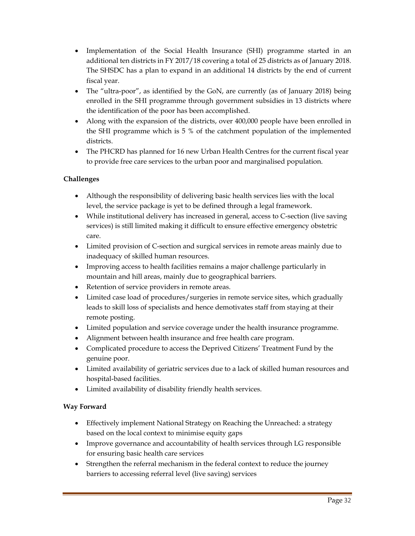- Implementation of the Social Health Insurance (SHI) programme started in an additional ten districts in FY 2017/18 covering a total of 25 districts as of January 2018. The SHSDC has a plan to expand in an additional 14 districts by the end of current fiscal year.
- The "ultra-poor", as identified by the GoN, are currently (as of January 2018) being enrolled in the SHI programme through government subsidies in 13 districts where the identification of the poor has been accomplished.
- Along with the expansion of the districts, over 400,000 people have been enrolled in the SHI programme which is 5 % of the catchment population of the implemented districts.
- The PHCRD has planned for 16 new Urban Health Centres for the current fiscal year to provide free care services to the urban poor and marginalised population.

#### **Challenges**

- Although the responsibility of delivering basic health services lies with the local level, the service package is yet to be defined through a legal framework.
- While institutional delivery has increased in general, access to C-section (live saving services) is still limited making it difficult to ensure effective emergency obstetric care.
- Limited provision of C-section and surgical services in remote areas mainly due to inadequacy of skilled human resources.
- Improving access to health facilities remains a major challenge particularly in mountain and hill areas, mainly due to geographical barriers.
- Retention of service providers in remote areas.
- Limited case load of procedures/surgeries in remote service sites, which gradually leads to skill loss of specialists and hence demotivates staff from staying at their remote posting.
- Limited population and service coverage under the health insurance programme.
- Alignment between health insurance and free health care program.
- Complicated procedure to access the Deprived Citizens' Treatment Fund by the genuine poor.
- Limited availability of geriatric services due to a lack of skilled human resources and hospital-based facilities.
- Limited availability of disability friendly health services.

#### **Way Forward**

- Effectively implement National Strategy on Reaching the Unreached: a strategy based on the local context to minimise equity gaps
- Improve governance and accountability of health services through LG responsible for ensuring basic health care services
- Strengthen the referral mechanism in the federal context to reduce the journey barriers to accessing referral level (live saving) services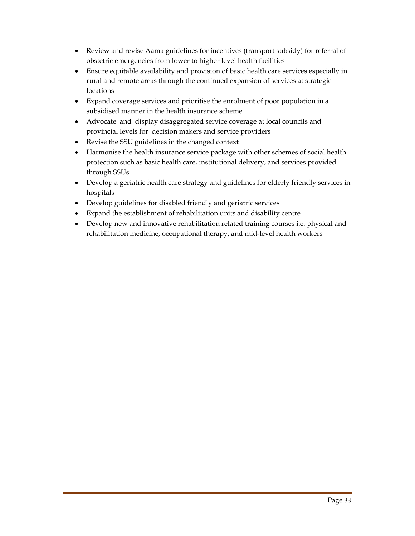- Review and revise Aama guidelines for incentives (transport subsidy) for referral of obstetric emergencies from lower to higher level health facilities
- Ensure equitable availability and provision of basic health care services especially in rural and remote areas through the continued expansion of services at strategic locations
- Expand coverage services and prioritise the enrolment of poor population in a subsidised manner in the health insurance scheme
- Advocate and display disaggregated service coverage at local councils and provincial levels for decision makers and service providers
- Revise the SSU guidelines in the changed context
- Harmonise the health insurance service package with other schemes of social health protection such as basic health care, institutional delivery, and services provided through SSUs
- Develop a geriatric health care strategy and guidelines for elderly friendly services in hospitals
- Develop guidelines for disabled friendly and geriatric services
- Expand the establishment of rehabilitation units and disability centre
- Develop new and innovative rehabilitation related training courses i.e. physical and rehabilitation medicine, occupational therapy, and mid-level health workers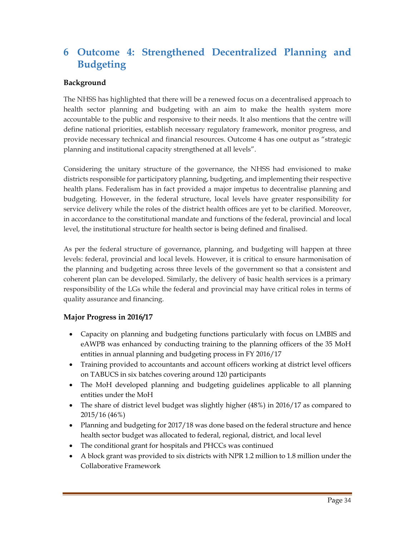# **6 Outcome 4: Strengthened Decentralized Planning and Budgeting**

#### **Background**

The NHSS has highlighted that there will be a renewed focus on a decentralised approach to health sector planning and budgeting with an aim to make the health system more accountable to the public and responsive to their needs. It also mentions that the centre will define national priorities, establish necessary regulatory framework, monitor progress, and provide necessary technical and financial resources. Outcome 4 has one output as "strategic planning and institutional capacity strengthened at all levels".

Considering the unitary structure of the governance, the NHSS had envisioned to make districts responsible for participatory planning, budgeting, and implementing their respective health plans. Federalism has in fact provided a major impetus to decentralise planning and budgeting. However, in the federal structure, local levels have greater responsibility for service delivery while the roles of the district health offices are yet to be clarified. Moreover, in accordance to the constitutional mandate and functions of the federal, provincial and local level, the institutional structure for health sector is being defined and finalised.

As per the federal structure of governance, planning, and budgeting will happen at three levels: federal, provincial and local levels. However, it is critical to ensure harmonisation of the planning and budgeting across three levels of the government so that a consistent and coherent plan can be developed. Similarly, the delivery of basic health services is a primary responsibility of the LGs while the federal and provincial may have critical roles in terms of quality assurance and financing.

#### **Major Progress in 2016/17**

- Capacity on planning and budgeting functions particularly with focus on LMBIS and eAWPB was enhanced by conducting training to the planning officers of the 35 MoH entities in annual planning and budgeting process in FY 2016/17
- Training provided to accountants and account officers working at district level officers on TABUCS in six batches covering around 120 participants
- The MoH developed planning and budgeting guidelines applicable to all planning entities under the MoH
- The share of district level budget was slightly higher (48%) in 2016/17 as compared to 2015/16 (46%)
- Planning and budgeting for 2017/18 was done based on the federal structure and hence health sector budget was allocated to federal, regional, district, and local level
- The conditional grant for hospitals and PHCCs was continued
- A block grant was provided to six districts with NPR 1.2 million to 1.8 million under the Collaborative Framework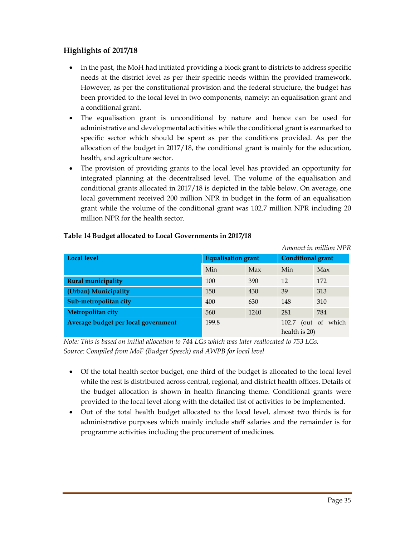#### **Highlights of 2017/18**

- In the past, the MoH had initiated providing a block grant to districts to address specific needs at the district level as per their specific needs within the provided framework. However, as per the constitutional provision and the federal structure, the budget has been provided to the local level in two components, namely: an equalisation grant and a conditional grant.
- The equalisation grant is unconditional by nature and hence can be used for administrative and developmental activities while the conditional grant is earmarked to specific sector which should be spent as per the conditions provided. As per the allocation of the budget in 2017/18, the conditional grant is mainly for the education, health, and agriculture sector.
- The provision of providing grants to the local level has provided an opportunity for integrated planning at the decentralised level. The volume of the equalisation and conditional grants allocated in 2017/18 is depicted in the table below. On average, one local government received 200 million NPR in budget in the form of an equalisation grant while the volume of the conditional grant was 102.7 million NPR including 20 million NPR for the health sector.

|                                     |                           |      |                          | Amount in million NPR |
|-------------------------------------|---------------------------|------|--------------------------|-----------------------|
| <b>Local level</b>                  | <b>Equalisation grant</b> |      | <b>Conditional grant</b> |                       |
|                                     | Min                       | Max  | Min                      | Max                   |
| <b>Rural municipality</b>           | 100                       | 390  | 12                       | 172                   |
| (Urban) Municipality                | 150                       | 430  | 39                       | 313                   |
| Sub-metropolitan city               | 400                       | 630  | 148                      | 310                   |
| Metropolitan city                   | 560                       | 1240 | 281                      | 784                   |
| Average budget per local government | 199.8                     |      | 102.7<br>(out of         | which                 |
|                                     |                           |      | health is 20)            |                       |

#### **Table 14 Budget allocated to Local Governments in 2017/18**

*Note: This is based on initial allocation to 744 LGs which was later reallocated to 753 LGs. Source: Compiled from MoF (Budget Speech) and AWPB for local level* 

- Of the total health sector budget, one third of the budget is allocated to the local level while the rest is distributed across central, regional, and district health offices. Details of the budget allocation is shown in health financing theme. Conditional grants were provided to the local level along with the detailed list of activities to be implemented.
- Out of the total health budget allocated to the local level, almost two thirds is for administrative purposes which mainly include staff salaries and the remainder is for programme activities including the procurement of medicines.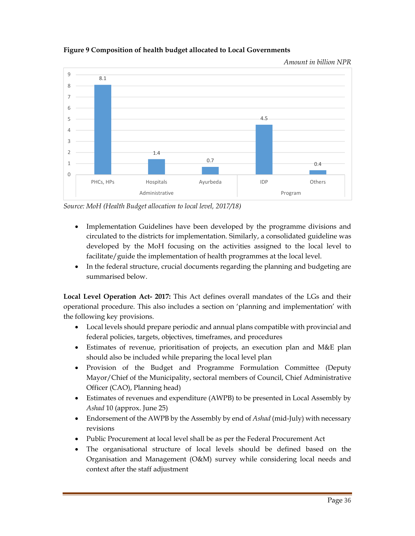

#### **Figure 9 Composition of health budget allocated to Local Governments**

*Source: MoH (Health Budget allocation to local level, 2017/18)* 

- Implementation Guidelines have been developed by the programme divisions and circulated to the districts for implementation. Similarly, a consolidated guideline was developed by the MoH focusing on the activities assigned to the local level to facilitate/guide the implementation of health programmes at the local level.
- In the federal structure, crucial documents regarding the planning and budgeting are summarised below.

**Local Level Operation Act- 2017:** This Act defines overall mandates of the LGs and their operational procedure. This also includes a section on 'planning and implementation' with the following key provisions.

- Local levels should prepare periodic and annual plans compatible with provincial and federal policies, targets, objectives, timeframes, and procedures
- Estimates of revenue, prioritisation of projects, an execution plan and M&E plan should also be included while preparing the local level plan
- Provision of the Budget and Programme Formulation Committee (Deputy Mayor/Chief of the Municipality, sectoral members of Council, Chief Administrative Officer (CAO), Planning head)
- Estimates of revenues and expenditure (AWPB) to be presented in Local Assembly by *Ashad* 10 (approx. June 25)
- Endorsement of the AWPB by the Assembly by end of *Ashad* (mid-July) with necessary revisions
- Public Procurement at local level shall be as per the Federal Procurement Act
- The organisational structure of local levels should be defined based on the Organisation and Management (O&M) survey while considering local needs and context after the staff adjustment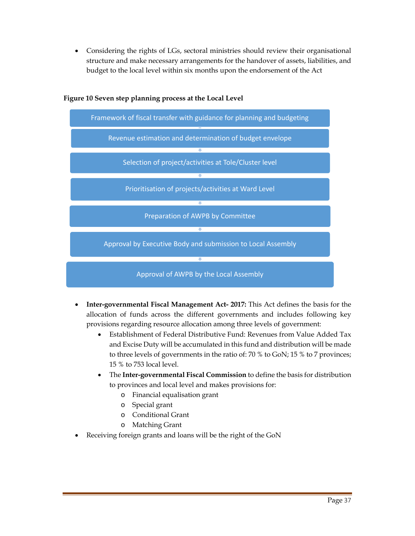Considering the rights of LGs, sectoral ministries should review their organisational structure and make necessary arrangements for the handover of assets, liabilities, and budget to the local level within six months upon the endorsement of the Act



#### **Figure 10 Seven step planning process at the Local Level**

- **Inter-governmental Fiscal Management Act- 2017:** This Act defines the basis for the allocation of funds across the different governments and includes following key provisions regarding resource allocation among three levels of government:
	- Establishment of Federal Distributive Fund: Revenues from Value Added Tax and Excise Duty will be accumulated in this fund and distribution will be made to three levels of governments in the ratio of: 70 % to GoN; 15 % to 7 provinces; 15 % to 753 local level.
	- The **Inter-governmental Fiscal Commission** to define the basis for distribution to provinces and local level and makes provisions for:
		- o Financial equalisation grant
		- o Special grant
		- o Conditional Grant
		- o Matching Grant
- Receiving foreign grants and loans will be the right of the GoN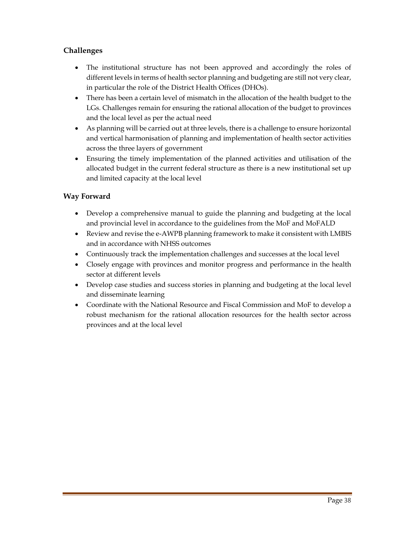#### **Challenges**

- The institutional structure has not been approved and accordingly the roles of different levels in terms of health sector planning and budgeting are still not very clear, in particular the role of the District Health Offices (DHOs).
- There has been a certain level of mismatch in the allocation of the health budget to the LGs. Challenges remain for ensuring the rational allocation of the budget to provinces and the local level as per the actual need
- As planning will be carried out at three levels, there is a challenge to ensure horizontal and vertical harmonisation of planning and implementation of health sector activities across the three layers of government
- Ensuring the timely implementation of the planned activities and utilisation of the allocated budget in the current federal structure as there is a new institutional set up and limited capacity at the local level

#### **Way Forward**

- Develop a comprehensive manual to guide the planning and budgeting at the local and provincial level in accordance to the guidelines from the MoF and MoFALD
- Review and revise the e-AWPB planning framework to make it consistent with LMBIS and in accordance with NHSS outcomes
- Continuously track the implementation challenges and successes at the local level
- Closely engage with provinces and monitor progress and performance in the health sector at different levels
- Develop case studies and success stories in planning and budgeting at the local level and disseminate learning
- Coordinate with the National Resource and Fiscal Commission and MoF to develop a robust mechanism for the rational allocation resources for the health sector across provinces and at the local level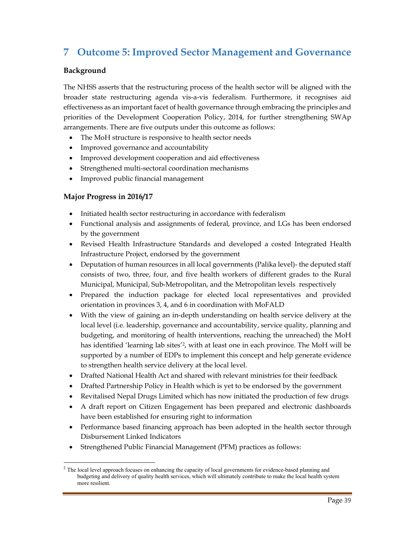# **7 Outcome 5: Improved Sector Management and Governance**

#### **Background**

The NHSS asserts that the restructuring process of the health sector will be aligned with the broader state restructuring agenda vis-a-vis federalism. Furthermore, it recognises aid effectiveness as an important facet of health governance through embracing the principles and priorities of the Development Cooperation Policy, 2014, for further strengthening SWAp arrangements. There are five outputs under this outcome as follows:

- The MoH structure is responsive to health sector needs
- Improved governance and accountability
- Improved development cooperation and aid effectiveness
- Strengthened multi-sectoral coordination mechanisms
- Improved public financial management

#### **Major Progress in 2016/17**

- Initiated health sector restructuring in accordance with federalism
- Functional analysis and assignments of federal, province, and LGs has been endorsed by the government
- Revised Health Infrastructure Standards and developed a costed Integrated Health Infrastructure Project, endorsed by the government
- Deputation of human resources in all local governments (Palika level)- the deputed staff consists of two, three, four, and five health workers of different grades to the Rural Municipal, Municipal, Sub-Metropolitan, and the Metropolitan levels respectively
- Prepared the induction package for elected local representatives and provided orientation in provinces 3, 4, and 6 in coordination with MoFALD
- With the view of gaining an in-depth understanding on health service delivery at the local level (i.e. leadership, governance and accountability, service quality, planning and budgeting, and monitoring of health interventions, reaching the unreached) the MoH has identified 'learning lab sites'2, with at least one in each province. The MoH will be supported by a number of EDPs to implement this concept and help generate evidence to strengthen health service delivery at the local level.
- Drafted National Health Act and shared with relevant ministries for their feedback
- Drafted Partnership Policy in Health which is yet to be endorsed by the government
- Revitalised Nepal Drugs Limited which has now initiated the production of few drugs
- A draft report on Citizen Engagement has been prepared and electronic dashboards have been established for ensuring right to information
- Performance based financing approach has been adopted in the health sector through Disbursement Linked Indicators
- Strengthened Public Financial Management (PFM) practices as follows:

<sup>&</sup>lt;sup>2</sup> The local level approach focuses on enhancing the capacity of local governments for evidence-based planning and budgeting and delivery of quality health services, which will ultimately contribute to make the local health system more resilient.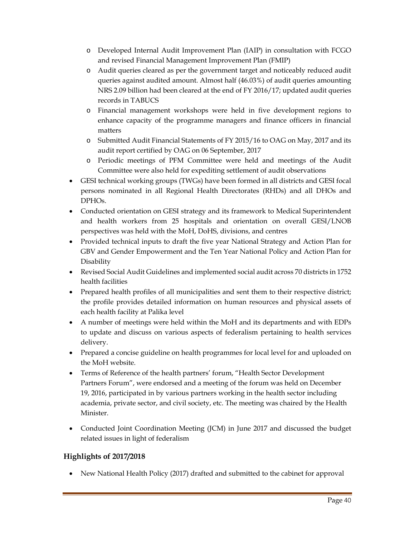- o Developed Internal Audit Improvement Plan (IAIP) in consultation with FCGO and revised Financial Management Improvement Plan (FMIP)
- o Audit queries cleared as per the government target and noticeably reduced audit queries against audited amount. Almost half (46.03%) of audit queries amounting NRS 2.09 billion had been cleared at the end of FY 2016/17; updated audit queries records in TABUCS
- o Financial management workshops were held in five development regions to enhance capacity of the programme managers and finance officers in financial matters
- o Submitted Audit Financial Statements of FY 2015/16 to OAG on May, 2017 and its audit report certified by OAG on 06 September, 2017
- o Periodic meetings of PFM Committee were held and meetings of the Audit Committee were also held for expediting settlement of audit observations
- GESI technical working groups (TWGs) have been formed in all districts and GESI focal persons nominated in all Regional Health Directorates (RHDs) and all DHOs and DPHOs.
- Conducted orientation on GESI strategy and its framework to Medical Superintendent and health workers from 25 hospitals and orientation on overall GESI/LNOB perspectives was held with the MoH, DoHS, divisions, and centres
- Provided technical inputs to draft the five year National Strategy and Action Plan for GBV and Gender Empowerment and the Ten Year National Policy and Action Plan for Disability
- Revised Social Audit Guidelines and implemented social audit across 70 districts in 1752 health facilities
- Prepared health profiles of all municipalities and sent them to their respective district; the profile provides detailed information on human resources and physical assets of each health facility at Palika level
- A number of meetings were held within the MoH and its departments and with EDPs to update and discuss on various aspects of federalism pertaining to health services delivery.
- Prepared a concise guideline on health programmes for local level for and uploaded on the MoH website.
- Terms of Reference of the health partners' forum, "Health Sector Development Partners Forum", were endorsed and a meeting of the forum was held on December 19, 2016, participated in by various partners working in the health sector including academia, private sector, and civil society, etc. The meeting was chaired by the Health Minister.
- Conducted Joint Coordination Meeting (JCM) in June 2017 and discussed the budget related issues in light of federalism

#### **Highlights of 2017/2018**

New National Health Policy (2017) drafted and submitted to the cabinet for approval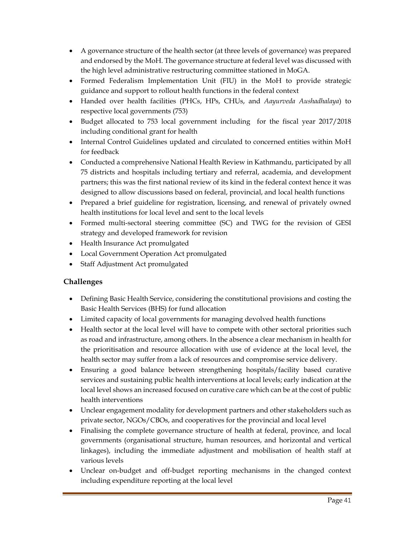- A governance structure of the health sector (at three levels of governance) was prepared and endorsed by the MoH. The governance structure at federal level was discussed with the high level administrative restructuring committee stationed in MoGA.
- Formed Federalism Implementation Unit (FIU) in the MoH to provide strategic guidance and support to rollout health functions in the federal context
- Handed over health facilities (PHCs, HPs, CHUs, and *Aayurveda Aushadhalaya*) to respective local governments (753)
- Budget allocated to 753 local government including for the fiscal year 2017/2018 including conditional grant for health
- Internal Control Guidelines updated and circulated to concerned entities within MoH for feedback
- Conducted a comprehensive National Health Review in Kathmandu, participated by all 75 districts and hospitals including tertiary and referral, academia, and development partners; this was the first national review of its kind in the federal context hence it was designed to allow discussions based on federal, provincial, and local health functions
- Prepared a brief guideline for registration, licensing, and renewal of privately owned health institutions for local level and sent to the local levels
- Formed multi-sectoral steering committee (SC) and TWG for the revision of GESI strategy and developed framework for revision
- Health Insurance Act promulgated
- Local Government Operation Act promulgated
- Staff Adjustment Act promulgated

#### **Challenges**

- Defining Basic Health Service, considering the constitutional provisions and costing the Basic Health Services (BHS) for fund allocation
- Limited capacity of local governments for managing devolved health functions
- Health sector at the local level will have to compete with other sectoral priorities such as road and infrastructure, among others. In the absence a clear mechanism in health for the prioritisation and resource allocation with use of evidence at the local level, the health sector may suffer from a lack of resources and compromise service delivery.
- Ensuring a good balance between strengthening hospitals/facility based curative services and sustaining public health interventions at local levels; early indication at the local level shows an increased focused on curative care which can be at the cost of public health interventions
- Unclear engagement modality for development partners and other stakeholders such as private sector, NGOs/CBOs, and cooperatives for the provincial and local level
- Finalising the complete governance structure of health at federal, province, and local governments (organisational structure, human resources, and horizontal and vertical linkages), including the immediate adjustment and mobilisation of health staff at various levels
- Unclear on-budget and off-budget reporting mechanisms in the changed context including expenditure reporting at the local level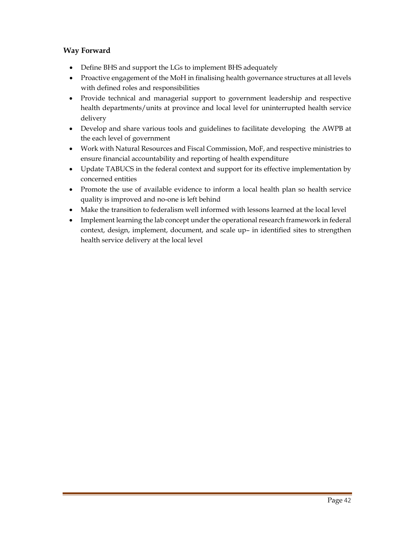#### **Way Forward**

- Define BHS and support the LGs to implement BHS adequately
- Proactive engagement of the MoH in finalising health governance structures at all levels with defined roles and responsibilities
- Provide technical and managerial support to government leadership and respective health departments/units at province and local level for uninterrupted health service delivery
- Develop and share various tools and guidelines to facilitate developing the AWPB at the each level of government
- Work with Natural Resources and Fiscal Commission, MoF, and respective ministries to ensure financial accountability and reporting of health expenditure
- Update TABUCS in the federal context and support for its effective implementation by concerned entities
- Promote the use of available evidence to inform a local health plan so health service quality is improved and no-one is left behind
- Make the transition to federalism well informed with lessons learned at the local level
- Implement learning the lab concept under the operational research framework in federal context, design, implement, document, and scale up– in identified sites to strengthen health service delivery at the local level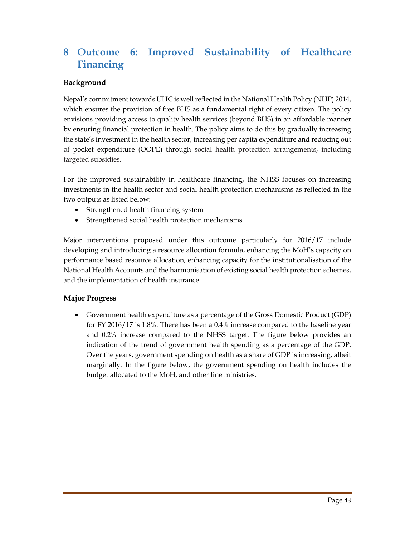# **8 Outcome 6: Improved Sustainability of Healthcare Financing**

#### **Background**

Nepal's commitment towards UHC is well reflected in the National Health Policy (NHP) 2014, which ensures the provision of free BHS as a fundamental right of every citizen. The policy envisions providing access to quality health services (beyond BHS) in an affordable manner by ensuring financial protection in health. The policy aims to do this by gradually increasing the state's investment in the health sector, increasing per capita expenditure and reducing out of pocket expenditure (OOPE) through social health protection arrangements, including targeted subsidies.

For the improved sustainability in healthcare financing, the NHSS focuses on increasing investments in the health sector and social health protection mechanisms as reflected in the two outputs as listed below:

- Strengthened health financing system
- Strengthened social health protection mechanisms

Major interventions proposed under this outcome particularly for 2016/17 include developing and introducing a resource allocation formula, enhancing the MoH's capacity on performance based resource allocation, enhancing capacity for the institutionalisation of the National Health Accounts and the harmonisation of existing social health protection schemes, and the implementation of health insurance.

#### **Major Progress**

 Government health expenditure as a percentage of the Gross Domestic Product (GDP) for FY 2016/17 is 1.8%. There has been a 0.4% increase compared to the baseline year and 0.2% increase compared to the NHSS target. The figure below provides an indication of the trend of government health spending as a percentage of the GDP. Over the years, government spending on health as a share of GDP is increasing, albeit marginally. In the figure below, the government spending on health includes the budget allocated to the MoH, and other line ministries.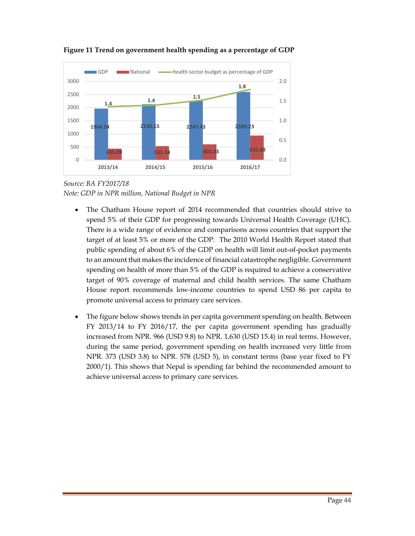

#### **Figure 11 Trend on government health spending as a percentage of GDP**

*Source: BA FY2017/18 Note: GDP in NPR million, National Budget in NPR* 

- The Chatham House report of 2014 recommended that countries should strive to spend 5% of their GDP for progressing towards Universal Health Coverage (UHC). There is a wide range of evidence and comparisons across countries that support the target of at least 5% or more of the GDP. The 2010 World Health Report stated that public spending of about 6% of the GDP on health will limit out-of-pocket payments to an amount that makes the incidence of financial catastrophe negligible. Government spending on health of more than 5% of the GDP is required to achieve a conservative target of 90% coverage of maternal and child health services. The same Chatham House report recommends low-income countries to spend USD 86 per capita to promote universal access to primary care services.
- The figure below shows trends in per capita government spending on health. Between FY 2013/14 to FY 2016/17, the per capita government spending has gradually increased from NPR. 966 (USD 9.8) to NPR. 1,630 (USD 15.4) in real terms. However, during the same period, government spending on health increased very little from NPR. 373 (USD 3.8) to NPR. 578 (USD 5), in constant terms (base year fixed to FY 2000/1). This shows that Nepal is spending far behind the recommended amount to achieve universal access to primary care services.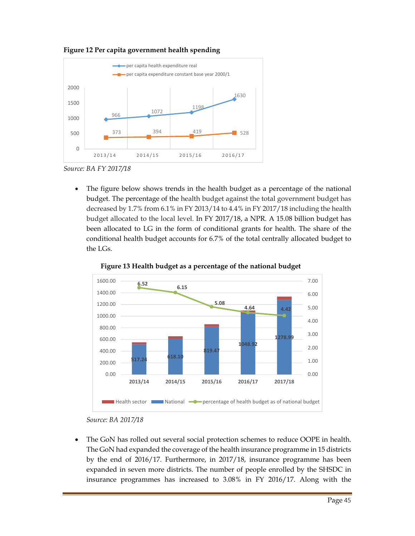

**Figure 12 Per capita government health spending**

 The figure below shows trends in the health budget as a percentage of the national budget. The percentage of the health budget against the total government budget has decreased by 1.7% from 6.1% in FY 2013/14 to 4.4% in FY 2017/18 including the health budget allocated to the local level. In FY 2017/18, a NPR. A 15.08 billion budget has been allocated to LG in the form of conditional grants for health. The share of the conditional health budget accounts for 6.7% of the total centrally allocated budget to the LGs.



 **Figure 13 Health budget as a percentage of the national budget** 

 The GoN has rolled out several social protection schemes to reduce OOPE in health. The GoN had expanded the coverage of the health insurance programme in 15 districts by the end of 2016/17. Furthermore, in 2017/18, insurance programme has been expanded in seven more districts. The number of people enrolled by the SHSDC in insurance programmes has increased to 3.08% in FY 2016/17. Along with the

*Source: BA FY 2017/18* 

*Source: BA 2017/18*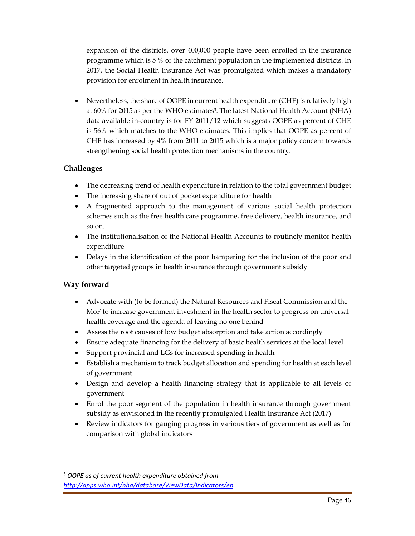expansion of the districts, over 400,000 people have been enrolled in the insurance programme which is 5 % of the catchment population in the implemented districts. In 2017, the Social Health Insurance Act was promulgated which makes a mandatory provision for enrolment in health insurance.

 Nevertheless, the share of OOPE in current health expenditure (CHE) is relatively high at 60% for 2015 as per the WHO estimates3. The latest National Health Account (NHA) data available in-country is for FY 2011/12 which suggests OOPE as percent of CHE is 56% which matches to the WHO estimates. This implies that OOPE as percent of CHE has increased by 4% from 2011 to 2015 which is a major policy concern towards strengthening social health protection mechanisms in the country.

#### **Challenges**

- The decreasing trend of health expenditure in relation to the total government budget
- The increasing share of out of pocket expenditure for health
- A fragmented approach to the management of various social health protection schemes such as the free health care programme, free delivery, health insurance, and so on.
- The institutionalisation of the National Health Accounts to routinely monitor health expenditure
- Delays in the identification of the poor hampering for the inclusion of the poor and other targeted groups in health insurance through government subsidy

#### **Way forward**

- Advocate with (to be formed) the Natural Resources and Fiscal Commission and the MoF to increase government investment in the health sector to progress on universal health coverage and the agenda of leaving no one behind
- Assess the root causes of low budget absorption and take action accordingly
- Ensure adequate financing for the delivery of basic health services at the local level
- Support provincial and LGs for increased spending in health
- Establish a mechanism to track budget allocation and spending for health at each level of government
- Design and develop a health financing strategy that is applicable to all levels of government
- Enrol the poor segment of the population in health insurance through government subsidy as envisioned in the recently promulgated Health Insurance Act (2017)
- Review indicators for gauging progress in various tiers of government as well as for comparison with global indicators

<sup>3</sup> *OOPE as of current health expenditure obtained from http://apps.who.int/nha/database/ViewData/Indicators/en*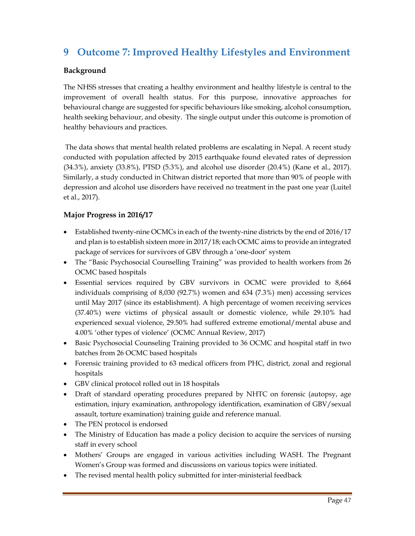# **9 Outcome 7: Improved Healthy Lifestyles and Environment**

#### **Background**

The NHSS stresses that creating a healthy environment and healthy lifestyle is central to the improvement of overall health status. For this purpose, innovative approaches for behavioural change are suggested for specific behaviours like smoking, alcohol consumption, health seeking behaviour, and obesity. The single output under this outcome is promotion of healthy behaviours and practices.

 The data shows that mental health related problems are escalating in Nepal. A recent study conducted with population affected by 2015 earthquake found elevated rates of depression (34.3%), anxiety (33.8%), PTSD (5.3%), and alcohol use disorder (20.4%) (Kane et al., 2017). Similarly, a study conducted in Chitwan district reported that more than 90% of people with depression and alcohol use disorders have received no treatment in the past one year (Luitel et al., 2017).

#### **Major Progress in 2016/17**

- Established twenty-nine OCMCs in each of the twenty-nine districts by the end of 2016/17 and plan is to establish sixteen more in 2017/18; each OCMC aims to provide an integrated package of services for survivors of GBV through a 'one-door' system
- The "Basic Psychosocial Counselling Training" was provided to health workers from 26 OCMC based hospitals
- Essential services required by GBV survivors in OCMC were provided to 8,664 individuals comprising of 8,030 (92.7%) women and 634 (7.3%) men) accessing services until May 2017 (since its establishment). A high percentage of women receiving services (37.40%) were victims of physical assault or domestic violence, while 29.10% had experienced sexual violence, 29.50% had suffered extreme emotional/mental abuse and 4.00% 'other types of violence' (OCMC Annual Review, 2017)
- Basic Psychosocial Counseling Training provided to 36 OCMC and hospital staff in two batches from 26 OCMC based hospitals
- Forensic training provided to 63 medical officers from PHC, district, zonal and regional hospitals
- GBV clinical protocol rolled out in 18 hospitals
- Draft of standard operating procedures prepared by NHTC on forensic (autopsy, age estimation, injury examination, anthropology identification, examination of GBV/sexual assault, torture examination) training guide and reference manual.
- The PEN protocol is endorsed
- The Ministry of Education has made a policy decision to acquire the services of nursing staff in every school
- Mothers' Groups are engaged in various activities including WASH. The Pregnant Women's Group was formed and discussions on various topics were initiated.
- The revised mental health policy submitted for inter-ministerial feedback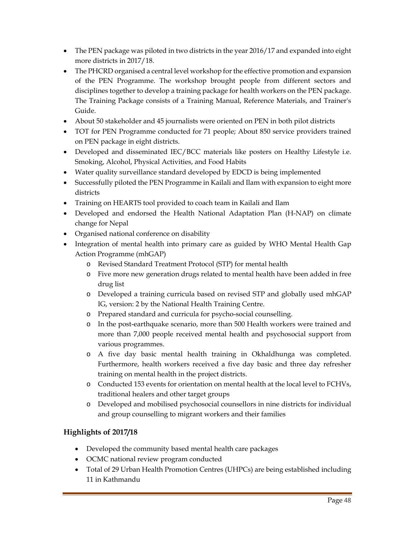- The PEN package was piloted in two districts in the year 2016/17 and expanded into eight more districts in 2017/18.
- The PHCRD organised a central level workshop for the effective promotion and expansion of the PEN Programme. The workshop brought people from different sectors and disciplines together to develop a training package for health workers on the PEN package. The Training Package consists of a Training Manual, Reference Materials, and Trainer's Guide.
- About 50 stakeholder and 45 journalists were oriented on PEN in both pilot districts
- TOT for PEN Programme conducted for 71 people; About 850 service providers trained on PEN package in eight districts.
- Developed and disseminated IEC/BCC materials like posters on Healthy Lifestyle i.e. Smoking, Alcohol, Physical Activities, and Food Habits
- Water quality surveillance standard developed by EDCD is being implemented
- Successfully piloted the PEN Programme in Kailali and Ilam with expansion to eight more districts
- Training on HEARTS tool provided to coach team in Kailali and Ilam
- Developed and endorsed the Health National Adaptation Plan (H-NAP) on climate change for Nepal
- Organised national conference on disability
- Integration of mental health into primary care as guided by WHO Mental Health Gap Action Programme (mhGAP)
	- o Revised Standard Treatment Protocol (STP) for mental health
	- o Five more new generation drugs related to mental health have been added in free drug list
	- o Developed a training curricula based on revised STP and globally used mhGAP IG, version: 2 by the National Health Training Centre.
	- o Prepared standard and curricula for psycho-social counselling.
	- o In the post-earthquake scenario, more than 500 Health workers were trained and more than 7,000 people received mental health and psychosocial support from various programmes.
	- o A five day basic mental health training in Okhaldhunga was completed. Furthermore, health workers received a five day basic and three day refresher training on mental health in the project districts.
	- o Conducted 153 events for orientation on mental health at the local level to FCHVs, traditional healers and other target groups
	- o Developed and mobilised psychosocial counsellors in nine districts for individual and group counselling to migrant workers and their families

#### **Highlights of 2017/18**

- Developed the community based mental health care packages
- OCMC national review program conducted
- Total of 29 Urban Health Promotion Centres (UHPCs) are being established including 11 in Kathmandu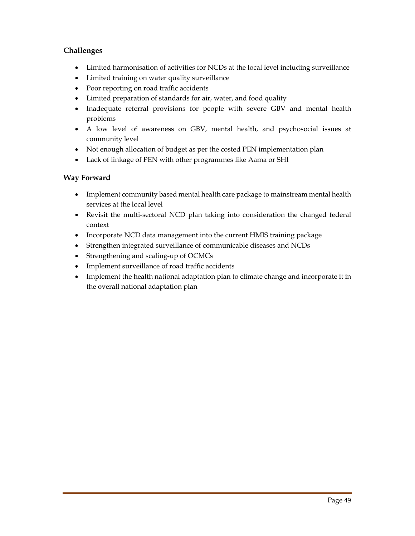#### **Challenges**

- Limited harmonisation of activities for NCDs at the local level including surveillance
- Limited training on water quality surveillance
- Poor reporting on road traffic accidents
- Limited preparation of standards for air, water, and food quality
- Inadequate referral provisions for people with severe GBV and mental health problems
- A low level of awareness on GBV, mental health, and psychosocial issues at community level
- Not enough allocation of budget as per the costed PEN implementation plan
- Lack of linkage of PEN with other programmes like Aama or SHI

#### **Way Forward**

- Implement community based mental health care package to mainstream mental health services at the local level
- Revisit the multi-sectoral NCD plan taking into consideration the changed federal context
- Incorporate NCD data management into the current HMIS training package
- Strengthen integrated surveillance of communicable diseases and NCDs
- Strengthening and scaling-up of OCMCs
- Implement surveillance of road traffic accidents
- Implement the health national adaptation plan to climate change and incorporate it in the overall national adaptation plan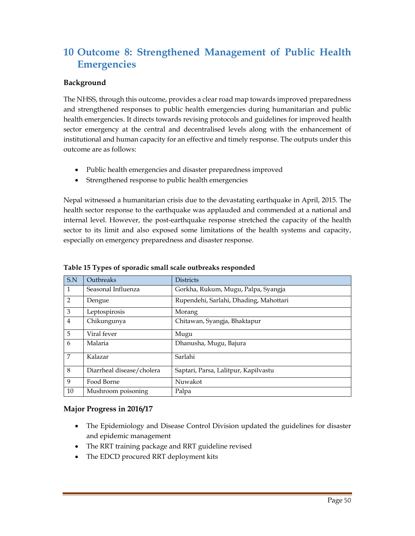# **10 Outcome 8: Strengthened Management of Public Health Emergencies**

#### **Background**

The NHSS, through this outcome, provides a clear road map towards improved preparedness and strengthened responses to public health emergencies during humanitarian and public health emergencies. It directs towards revising protocols and guidelines for improved health sector emergency at the central and decentralised levels along with the enhancement of institutional and human capacity for an effective and timely response. The outputs under this outcome are as follows:

- Public health emergencies and disaster preparedness improved
- Strengthened response to public health emergencies

Nepal witnessed a humanitarian crisis due to the devastating earthquake in April, 2015. The health sector response to the earthquake was applauded and commended at a national and internal level. However, the post-earthquake response stretched the capacity of the health sector to its limit and also exposed some limitations of the health systems and capacity, especially on emergency preparedness and disaster response.

| S.N          | Outbreaks                 | <b>Districts</b>                       |
|--------------|---------------------------|----------------------------------------|
| $\mathbf{1}$ | Seasonal Influenza        | Gorkha, Rukum, Mugu, Palpa, Syangja    |
| 2            | Dengue                    | Rupendehi, Sarlahi, Dhading, Mahottari |
| 3            | Leptospirosis             | Morang                                 |
| 4            | Chikungunya               | Chitawan, Syangja, Bhaktapur           |
| 5            | Viral fever               | Mugu                                   |
| 6            | Malaria                   | Dhanusha, Mugu, Bajura                 |
| 7            | Kalazar                   | Sarlahi                                |
| 8            | Diarrheal disease/cholera | Saptari, Parsa, Lalitpur, Kapilvastu   |
| 9            | Food Borne                | Nuwakot                                |
| 10           | Mushroom poisoning        | Palpa                                  |

#### **Table 15 Types of sporadic small scale outbreaks responded**

#### **Major Progress in 2016/17**

- The Epidemiology and Disease Control Division updated the guidelines for disaster and epidemic management
- The RRT training package and RRT guideline revised
- The EDCD procured RRT deployment kits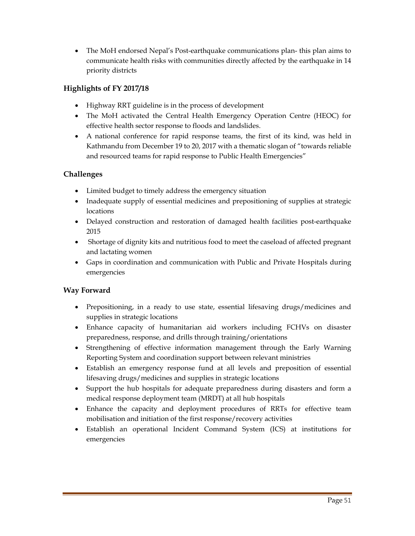The MoH endorsed Nepal's Post-earthquake communications plan- this plan aims to communicate health risks with communities directly affected by the earthquake in 14 priority districts

#### **Highlights of FY 2017/18**

- Highway RRT guideline is in the process of development
- The MoH activated the Central Health Emergency Operation Centre (HEOC) for effective health sector response to floods and landslides.
- A national conference for rapid response teams, the first of its kind, was held in Kathmandu from December 19 to 20, 2017 with a thematic slogan of "towards reliable and resourced teams for rapid response to Public Health Emergencies"

#### **Challenges**

- Limited budget to timely address the emergency situation
- Inadequate supply of essential medicines and prepositioning of supplies at strategic locations
- Delayed construction and restoration of damaged health facilities post-earthquake 2015
- Shortage of dignity kits and nutritious food to meet the caseload of affected pregnant and lactating women
- Gaps in coordination and communication with Public and Private Hospitals during emergencies

#### **Way Forward**

- Prepositioning, in a ready to use state, essential lifesaving drugs/medicines and supplies in strategic locations
- Enhance capacity of humanitarian aid workers including FCHVs on disaster preparedness, response, and drills through training/orientations
- Strengthening of effective information management through the Early Warning Reporting System and coordination support between relevant ministries
- Establish an emergency response fund at all levels and preposition of essential lifesaving drugs/medicines and supplies in strategic locations
- Support the hub hospitals for adequate preparedness during disasters and form a medical response deployment team (MRDT) at all hub hospitals
- Enhance the capacity and deployment procedures of RRTs for effective team mobilisation and initiation of the first response/recovery activities
- Establish an operational Incident Command System (ICS) at institutions for emergencies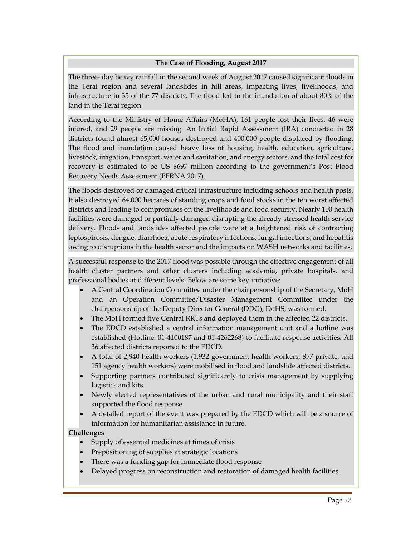#### **The Case of Flooding, August 2017**

The three- day heavy rainfall in the second week of August 2017 caused significant floods in the Terai region and several landslides in hill areas, impacting lives, livelihoods, and infrastructure in 35 of the 77 districts. The flood led to the inundation of about 80% of the land in the Terai region.

According to the Ministry of Home Affairs (MoHA), 161 people lost their lives, 46 were injured, and 29 people are missing. An Initial Rapid Assessment (IRA) conducted in 28 districts found almost 65,000 houses destroyed and 400,000 people displaced by flooding. The flood and inundation caused heavy loss of housing, health, education, agriculture, livestock, irrigation, transport, water and sanitation, and energy sectors, and the total cost for recovery is estimated to be US \$697 million according to the government's Post Flood Recovery Needs Assessment (PFRNA 2017).

The floods destroyed or damaged critical infrastructure including schools and health posts. It also destroyed 64,000 hectares of standing crops and food stocks in the ten worst affected districts and leading to compromises on the livelihoods and food security. Nearly 100 health facilities were damaged or partially damaged disrupting the already stressed health service delivery. Flood- and landslide- affected people were at a heightened risk of contracting leptospirosis, dengue, diarrhoea, acute respiratory infections, fungal infections, and hepatitis owing to disruptions in the health sector and the impacts on WASH networks and facilities.

A successful response to the 2017 flood was possible through the effective engagement of all health cluster partners and other clusters including academia, private hospitals, and professional bodies at different levels. Below are some key initiative:

- A Central Coordination Committee under the chairpersonship of the Secretary, MoH and an Operation Committee/Disaster Management Committee under the chairpersonship of the Deputy Director General (DDG), DoHS, was formed.
- The MoH formed five Central RRTs and deployed them in the affected 22 districts.
- The EDCD established a central information management unit and a hotline was established (Hotline: 01-4100187 and 01-4262268) to facilitate response activities. All 36 affected districts reported to the EDCD.
- A total of 2,940 health workers (1,932 government health workers, 857 private, and 151 agency health workers) were mobilised in flood and landslide affected districts.
- Supporting partners contributed significantly to crisis management by supplying logistics and kits.
- Newly elected representatives of the urban and rural municipality and their staff supported the flood response
- A detailed report of the event was prepared by the EDCD which will be a source of information for humanitarian assistance in future.

#### **Challenges**

- Supply of essential medicines at times of crisis
- Prepositioning of supplies at strategic locations
- There was a funding gap for immediate flood response
- Delayed progress on reconstruction and restoration of damaged health facilities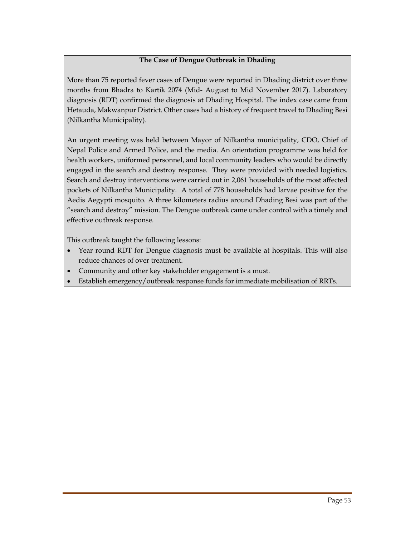#### **The Case of Dengue Outbreak in Dhading**

More than 75 reported fever cases of Dengue were reported in Dhading district over three months from Bhadra to Kartik 2074 (Mid- August to Mid November 2017). Laboratory diagnosis (RDT) confirmed the diagnosis at Dhading Hospital. The index case came from Hetauda, Makwanpur District. Other cases had a history of frequent travel to Dhading Besi (Nilkantha Municipality).

An urgent meeting was held between Mayor of Nilkantha municipality, CDO, Chief of Nepal Police and Armed Police, and the media. An orientation programme was held for health workers, uniformed personnel, and local community leaders who would be directly engaged in the search and destroy response. They were provided with needed logistics. Search and destroy interventions were carried out in 2,061 households of the most affected pockets of Nilkantha Municipality. A total of 778 households had larvae positive for the Aedis Aegypti mosquito. A three kilometers radius around Dhading Besi was part of the "search and destroy" mission. The Dengue outbreak came under control with a timely and effective outbreak response.

This outbreak taught the following lessons:

- Year round RDT for Dengue diagnosis must be available at hospitals. This will also reduce chances of over treatment.
- Community and other key stakeholder engagement is a must.
- Establish emergency/outbreak response funds for immediate mobilisation of RRTs.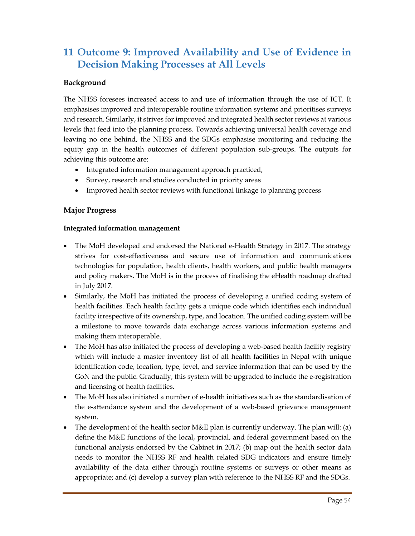# **11 Outcome 9: Improved Availability and Use of Evidence in Decision Making Processes at All Levels**

#### **Background**

The NHSS foresees increased access to and use of information through the use of ICT. It emphasises improved and interoperable routine information systems and prioritises surveys and research. Similarly, it strives for improved and integrated health sector reviews at various levels that feed into the planning process. Towards achieving universal health coverage and leaving no one behind, the NHSS and the SDGs emphasise monitoring and reducing the equity gap in the health outcomes of different population sub-groups. The outputs for achieving this outcome are:

- Integrated information management approach practiced,
- Survey, research and studies conducted in priority areas
- Improved health sector reviews with functional linkage to planning process

#### **Major Progress**

#### **Integrated information management**

- The MoH developed and endorsed the National e-Health Strategy in 2017. The strategy strives for cost-effectiveness and secure use of information and communications technologies for population, health clients, health workers, and public health managers and policy makers. The MoH is in the process of finalising the eHealth roadmap drafted in July 2017.
- Similarly, the MoH has initiated the process of developing a unified coding system of health facilities. Each health facility gets a unique code which identifies each individual facility irrespective of its ownership, type, and location. The unified coding system will be a milestone to move towards data exchange across various information systems and making them interoperable.
- The MoH has also initiated the process of developing a web-based health facility registry which will include a master inventory list of all health facilities in Nepal with unique identification code, location, type, level, and service information that can be used by the GoN and the public. Gradually, this system will be upgraded to include the e-registration and licensing of health facilities.
- The MoH has also initiated a number of e-health initiatives such as the standardisation of the e-attendance system and the development of a web-based grievance management system.
- The development of the health sector M&E plan is currently underway. The plan will: (a) define the M&E functions of the local, provincial, and federal government based on the functional analysis endorsed by the Cabinet in 2017; (b) map out the health sector data needs to monitor the NHSS RF and health related SDG indicators and ensure timely availability of the data either through routine systems or surveys or other means as appropriate; and (c) develop a survey plan with reference to the NHSS RF and the SDGs.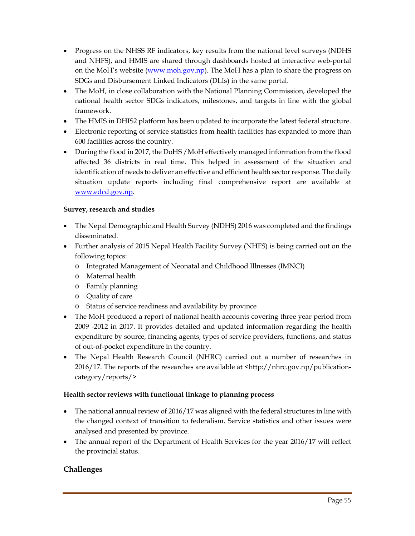- Progress on the NHSS RF indicators, key results from the national level surveys (NDHS and NHFS), and HMIS are shared through dashboards hosted at interactive web-portal on the MoH's website (www.moh.gov.np). The MoH has a plan to share the progress on SDGs and Disbursement Linked Indicators (DLIs) in the same portal.
- The MoH, in close collaboration with the National Planning Commission, developed the national health sector SDGs indicators, milestones, and targets in line with the global framework.
- The HMIS in DHIS2 platform has been updated to incorporate the latest federal structure.
- Electronic reporting of service statistics from health facilities has expanded to more than 600 facilities across the country.
- During the flood in 2017, the DoHS /MoH effectively managed information from the flood affected 36 districts in real time. This helped in assessment of the situation and identification of needs to deliver an effective and efficient health sector response. The daily situation update reports including final comprehensive report are available at www.edcd.gov.np.

#### **Survey, research and studies**

- The Nepal Demographic and Health Survey (NDHS) 2016 was completed and the findings disseminated.
- Further analysis of 2015 Nepal Health Facility Survey (NHFS) is being carried out on the following topics:
	- o Integrated Management of Neonatal and Childhood Illnesses (IMNCI)
	- o Maternal health
	- o Family planning
	- o Quality of care
	- o Status of service readiness and availability by province
- The MoH produced a report of national health accounts covering three year period from 2009 -2012 in 2017. It provides detailed and updated information regarding the health expenditure by source, financing agents, types of service providers, functions, and status of out-of-pocket expenditure in the country.
- The Nepal Health Research Council (NHRC) carried out a number of researches in  $2016/17$ . The reports of the researches are available at  $\langle$ http://nhrc.gov.np/publicationcategory/reports/>

#### **Health sector reviews with functional linkage to planning process**

- The national annual review of 2016/17 was aligned with the federal structures in line with the changed context of transition to federalism. Service statistics and other issues were analysed and presented by province.
- The annual report of the Department of Health Services for the year 2016/17 will reflect the provincial status.

#### **Challenges**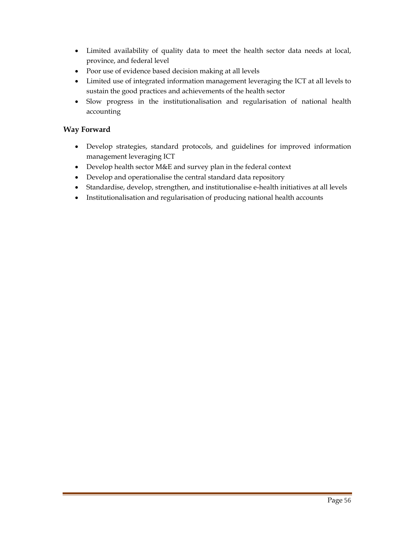- Limited availability of quality data to meet the health sector data needs at local, province, and federal level
- Poor use of evidence based decision making at all levels
- Limited use of integrated information management leveraging the ICT at all levels to sustain the good practices and achievements of the health sector
- Slow progress in the institutionalisation and regularisation of national health accounting

#### **Way Forward**

- Develop strategies, standard protocols, and guidelines for improved information management leveraging ICT
- Develop health sector M&E and survey plan in the federal context
- Develop and operationalise the central standard data repository
- Standardise, develop, strengthen, and institutionalise e-health initiatives at all levels
- Institutionalisation and regularisation of producing national health accounts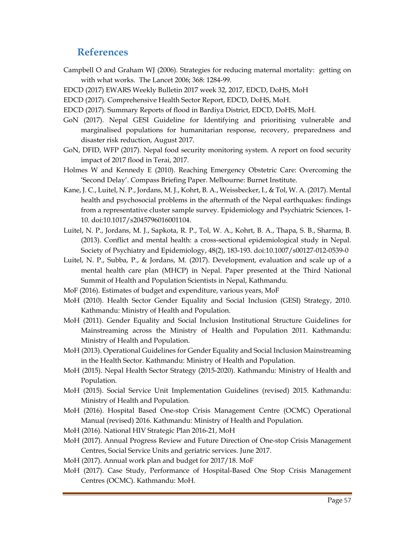## **References**

- Campbell O and Graham WJ (2006). Strategies for reducing maternal mortality: getting on with what works. The Lancet 2006; 368: 1284-99.
- EDCD (2017) EWARS Weekly Bulletin 2017 week 32, 2017, EDCD, DoHS, MoH
- EDCD (2017). Comprehensive Health Sector Report, EDCD, DoHS, MoH.
- EDCD (2017). Summary Reports of flood in Bardiya District, EDCD, DoHS, MoH.
- GoN (2017). Nepal GESI Guideline for Identifying and prioritising vulnerable and marginalised populations for humanitarian response, recovery, preparedness and disaster risk reduction, August 2017.
- GoN, DFID, WFP (2017). Nepal food security monitoring system. A report on food security impact of 2017 flood in Terai, 2017.
- Holmes W and Kennedy E (2010). Reaching Emergency Obstetric Care: Overcoming the 'Second Delay'. Compass Briefing Paper. Melbourne: Burnet Institute.
- Kane, J. C., Luitel, N. P., Jordans, M. J., Kohrt, B. A., Weissbecker, I., & Tol, W. A. (2017). Mental health and psychosocial problems in the aftermath of the Nepal earthquakes: findings from a representative cluster sample survey. Epidemiology and Psychiatric Sciences, 1- 10. doi:10.1017/s2045796016001104.
- Luitel, N. P., Jordans, M. J., Sapkota, R. P., Tol, W. A., Kohrt, B. A., Thapa, S. B., Sharma, B. (2013). Conflict and mental health: a cross-sectional epidemiological study in Nepal. Society of Psychiatry and Epidemiology, 48(2), 183-193. doi:10.1007/s00127-012-0539-0
- Luitel, N. P., Subba, P., & Jordans, M. (2017). Development, evaluation and scale up of a mental health care plan (MHCP) in Nepal. Paper presented at the Third National Summit of Health and Population Scientists in Nepal, Kathmandu.
- MoF (2016). Estimates of budget and expenditure, various years, MoF
- MoH (2010). Health Sector Gender Equality and Social Inclusion (GESI) Strategy, 2010. Kathmandu: Ministry of Health and Population.
- MoH (2011). Gender Equality and Social Inclusion Institutional Structure Guidelines for Mainstreaming across the Ministry of Health and Population 2011. Kathmandu: Ministry of Health and Population.
- MoH (2013). Operational Guidelines for Gender Equality and Social Inclusion Mainstreaming in the Health Sector. Kathmandu: Ministry of Health and Population.
- MoH (2015). Nepal Health Sector Strategy (2015-2020). Kathmandu: Ministry of Health and Population.
- MoH (2015). Social Service Unit Implementation Guidelines (revised) 2015. Kathmandu: Ministry of Health and Population.
- MoH (2016). Hospital Based One-stop Crisis Management Centre (OCMC) Operational Manual (revised) 2016. Kathmandu: Ministry of Health and Population.
- MoH (2016). National HIV Strategic Plan 2016-21, MoH
- MoH (2017). Annual Progress Review and Future Direction of One-stop Crisis Management Centres, Social Service Units and geriatric services. June 2017.
- MoH (2017). Annual work plan and budget for 2017/18. MoF
- MoH (2017). Case Study, Performance of Hospital-Based One Stop Crisis Management Centres (OCMC). Kathmandu: MoH.